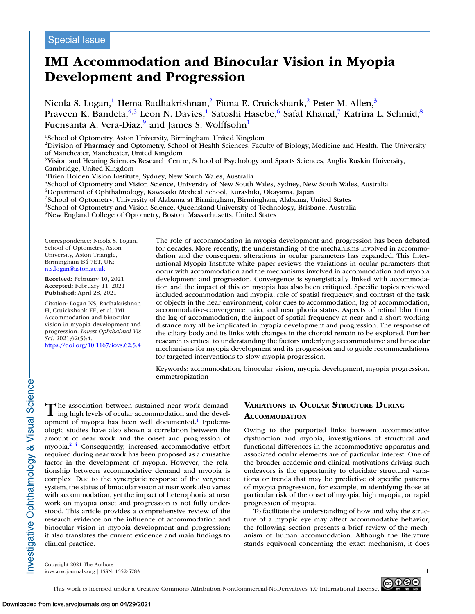# **IMI Accommodation and Binocular Vision in Myopia Development and Progression**

Nicola S. Logan,<sup>1</sup> Hema Radhakrishnan,<sup>2</sup> Fiona E. Cruickshank,<sup>2</sup> Peter M. Allen,<sup>3</sup> Praveen K. Bandela,<sup>4,5</sup> Leon N. Davies,<sup>1</sup> Satoshi Hasebe,<sup>6</sup> Safal Khanal,<sup>7</sup> Katrina L. Schmid,<sup>8</sup> Fuensanta A. Vera-Diaz, $9$  and James S. Wolffsohn<sup>1</sup>

<sup>1</sup>School of Optometry, Aston University, Birmingham, United Kingdom

<sup>2</sup>Division of Pharmacy and Optometry, School of Health Sciences, Faculty of Biology, Medicine and Health, The University of Manchester, Manchester, United Kingdom

<sup>3</sup>Vision and Hearing Sciences Research Centre, School of Psychology and Sports Sciences, Anglia Ruskin University, Cambridge, United Kingdom

<sup>4</sup>Brien Holden Vision Institute, Sydney, New South Wales, Australia

<sup>5</sup>School of Optometry and Vision Science, University of New South Wales, Sydney, New South Wales, Australia

6Department of Ophthalmology, Kawasaki Medical School, Kurashiki, Okayama, Japan

7School of Optometry, University of Alabama at Birmingham, Birmingham, Alabama, United States

8School of Optometry and Vision Science, Queensland University of Technology, Brisbane, Australia

9New England College of Optometry, Boston, Massachusetts, United States

Correspondence: Nicola S. Logan, School of Optometry, Aston University, Aston Triangle, Birmingham B4 7ET, UK; [n.s.logan@aston.ac.uk.](mailto:n.s.logan@aston.ac.uk)

**Received:** February 10, 2021 **Accepted:** February 11, 2021 **Published:** April 28, 2021

Citation: Logan NS, Radhakrishnan H, Cruickshank FE, et al. IMI Accommodation and binocular vision in myopia development and progression. *Invest Ophthalmol Vis Sci.* 2021;62(5):4. <https://doi.org/10.1167/iovs.62.5.4>

The role of accommodation in myopia development and progression has been debated for decades. More recently, the understanding of the mechanisms involved in accommodation and the consequent alterations in ocular parameters has expanded. This International Myopia Institute white paper reviews the variations in ocular parameters that occur with accommodation and the mechanisms involved in accommodation and myopia development and progression. Convergence is synergistically linked with accommodation and the impact of this on myopia has also been critiqued. Specific topics reviewed included accommodation and myopia, role of spatial frequency, and contrast of the task of objects in the near environment, color cues to accommodation, lag of accommodation, accommodative-convergence ratio, and near phoria status. Aspects of retinal blur from the lag of accommodation, the impact of spatial frequency at near and a short working distance may all be implicated in myopia development and progression. The response of the ciliary body and its links with changes in the choroid remain to be explored. Further research is critical to understanding the factors underlying accommodative and binocular mechanisms for myopia development and its progression and to guide recommendations for targeted interventions to slow myopia progression.

Keywords: accommodation, binocular vision, myopia development, myopia progression, emmetropization

The association between sustained near work demand-<br>ing high levels of ocular accommodation and the development of myopia has been well documented.<sup>1</sup> Epidemiologic studies have also shown a correlation between the amount of near work and the onset and progression of myopia[.2–4](#page-13-0) Consequently, increased accommodative effort required during near work has been proposed as a causative factor in the development of myopia. However, the relationship between accommodative demand and myopia is complex. Due to the synergistic response of the vergence system, the status of binocular vision at near work also varies with accommodation, yet the impact of heterophoria at near work on myopia onset and progression is not fully understood. This article provides a comprehensive review of the research evidence on the influence of accommodation and binocular vision in myopia development and progression; it also translates the current evidence and main findings to clinical practice.

# **VARIATIONS IN OCULAR STRUCTURE DURING ACCOMMODATION**

Owing to the purported links between accommodative dysfunction and myopia, investigations of structural and functional differences in the accommodative apparatus and associated ocular elements are of particular interest. One of the broader academic and clinical motivations driving such endeavors is the opportunity to elucidate structural variations or trends that may be predictive of specific patterns of myopia progression, for example, in identifying those at particular risk of the onset of myopia, high myopia, or rapid progression of myopia.

To facilitate the understanding of how and why the structure of a myopic eye may affect accommodative behavior, the following section presents a brief review of the mechanism of human accommodation. Although the literature stands equivocal concerning the exact mechanism, it does

Copyright 2021 The Authors iovs.arvojournals.org | ISSN: 1552-5783 1



This work is licensed under a Creative Commons Attribution-NonCommercial-NoDerivatives 4.0 International License.

nvestigative Ophthalmology & Visual Science-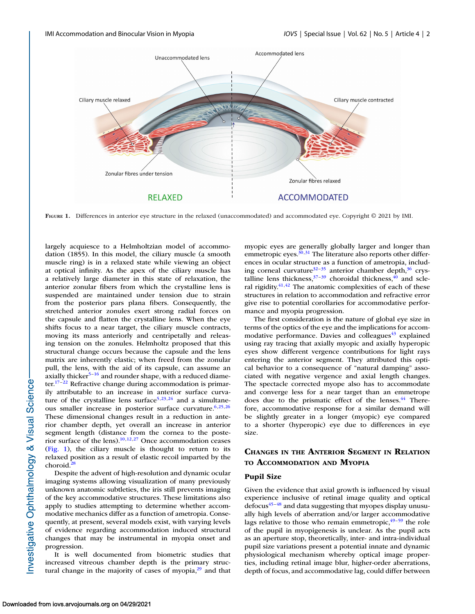

**FIGURE 1.** Differences in anterior eye structure in the relaxed (unaccommodated) and accommodated eye. Copyright © 2021 by IMI.

largely acquiesce to a Helmholtzian model of accommodation (1855). In this model, the ciliary muscle (a smooth muscle ring) is in a relaxed state while viewing an object at optical infinity. As the apex of the ciliary muscle has a relatively large diameter in this state of relaxation, the anterior zonular fibers from which the crystalline lens is suspended are maintained under tension due to strain from the posterior pars plana fibers. Consequently, the stretched anterior zonules exert strong radial forces on the capsule and flatten the crystalline lens. When the eye shifts focus to a near target, the ciliary muscle contracts, moving its mass anteriorly and centripetally and releasing tension on the zonules. Helmholtz proposed that this structural change occurs because the capsule and the lens matrix are inherently elastic; when freed from the zonular pull, the lens, with the aid of its capsule, can assume an axially thicker $5-16$  and rounder shape, with a reduced diameter.<sup>17–22</sup> Refractive change during accommodation is primarily attributable to an increase in anterior surface curvature of the crystalline lens surface<sup>5,23,24</sup> and a simultaneous smaller increase in posterior surface curvature.<sup>6,25,26</sup> These dimensional changes result in a reduction in anterior chamber depth, yet overall an increase in anterior segment length (distance from the cornea to the posterior surface of the lens). $10,12,27$  Once accommodation ceases (Fig. 1), the ciliary muscle is thought to return to its relaxed position as a result of elastic recoil imparted by the choroid.<sup>28</sup>

Despite the advent of high-resolution and dynamic ocular imaging systems allowing visualization of many previously unknown anatomic subtleties, the iris still prevents imaging of the key accommodative structures. These limitations also apply to studies attempting to determine whether accommodative mechanics differ as a function of ametropia. Consequently, at present, several models exist, with varying levels of evidence regarding accommodation induced structural changes that may be instrumental in myopia onset and progression.

It is well documented from biometric studies that increased vitreous chamber depth is the primary structural change in the majority of cases of myopia, $^{29}$  and that

myopic eyes are generally globally larger and longer than emmetropic eyes. $30,31$  The literature also reports other differences in ocular structure as a function of ametropia, including corneal curvature $32-35$  anterior chamber depth, $36$  crystalline lens thickness, $37-39$  choroidal thickness, $40$  and scleral rigidity. $41,42$  $41,42$  The anatomic complexities of each of these structures in relation to accommodation and refractive error give rise to potential corollaries for accommodative performance and myopia progression.

The first consideration is the nature of global eye size in terms of the optics of the eye and the implications for accommodative performance. Davies and colleagues $43$  explained using ray tracing that axially myopic and axially hyperopic eyes show different vergence contributions for light rays entering the anterior segment. They attributed this optical behavior to a consequence of "natural damping" associated with negative vergence and axial length changes. The spectacle corrected myope also has to accommodate and converge less for a near target than an emmetrope does due to the prismatic effect of the lenses.<sup>44</sup> Therefore, accommodative response for a similar demand will be slightly greater in a longer (myopic) eye compared to a shorter (hyperopic) eye due to differences in eye size.

# **CHANGES IN THE ANTERIOR SEGMENT IN RELATION TO ACCOMMODATION AND MYOPIA**

## **Pupil Size**

Given the evidence that axial growth is influenced by visual experience inclusive of retinal image quality and optical  $\text{defocus}^{45-48}$  and data suggesting that myopes display unusually high levels of aberration and/or larger accommodative lags relative to those who remain emmetropic, $49-59$  the role of the pupil in myopigenesis is unclear. As the pupil acts as an aperture stop, theoretically, inter- and intra-individual pupil size variations present a potential innate and dynamic physiological mechanism whereby optical image properties, including retinal image blur, higher-order aberrations, depth of focus, and accommodative lag, could differ between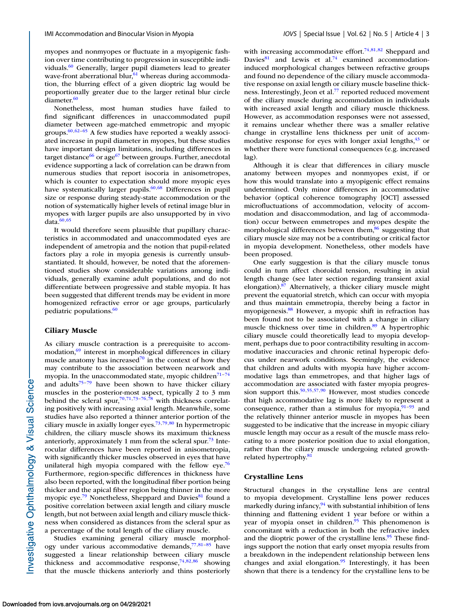myopes and nonmyopes or fluctuate in a myopigenic fashion over time contributing to progression in susceptible individuals.<sup>60</sup> Generally, larger pupil diameters lead to greater wave-front aberrational blur, $61$  whereas during accommodation, the blurring effect of a given dioptric lag would be proportionally greater due to the larger retinal blur circle diameter<sup>60</sup>

Nonetheless, most human studies have failed to find significant differences in unaccommodated pupil diameter between age-matched emmetropic and myopic groups[.60,62–65](#page-14-0) A few studies have reported a weakly associated increase in pupil diameter in myopes, but these studies have important design limitations, including differences in target distance $66$  or age $67$  between groups. Further, anecdotal evidence supporting a lack of correlation can be drawn from numerous studies that report isocoria in anisometropes, which is counter to expectation should more myopic eyes have systematically larger pupils.<sup>60,68</sup> Differences in pupil size or response during steady-state accommodation or the notion of systematically higher levels of retinal image blur in myopes with larger pupils are also unsupported by in vivo data. $60,65$ 

It would therefore seem plausible that pupillary characteristics in accommodated and unaccommodated eyes are independent of ametropia and the notion that pupil-related factors play a role in myopia genesis is currently unsubstantiated. It should, however, be noted that the aforementioned studies show considerable variations among individuals, generally examine adult populations, and do not differentiate between progressive and stable myopia. It has been suggested that different trends may be evident in more homogenized refractive error or age groups, particularly pediatric populations.<sup>60</sup>

#### **Ciliary Muscle**

As ciliary muscle contraction is a prerequisite to accom $modation<sub>1</sub><sup>69</sup>$  interest in morphological differences in ciliary muscle anatomy has increased $70$  in the context of how they may contribute to the association between nearwork and myopia. In the unaccommodated state, myopic children<sup>71–74</sup> and adults $75-79$  have been shown to have thicker ciliary muscles in the posterior-most aspect, typically 2 to 3 mm behind the scleral spur,<sup>70,71,73-76,78</sup> with thickness correlating positively with increasing axial length. Meanwhile, some studies have also reported a thinner anterior portion of the ciliary muscle in axially longer eyes[.73,79,80](#page-14-0) In hypermetropic children, the ciliary muscle shows its maximum thickness anteriorly, approximately 1 mm from the scleral spur.<sup>73</sup> Interocular differences have been reported in anisometropia, with significantly thicker muscles observed in eyes that have unilateral high myopia compared with the fellow eye.<sup>76</sup> Furthermore, region-specific differences in thickness have also been reported, with the longitudinal fiber portion being thicker and the apical fiber region being thinner in the more myopic eye.<sup>79</sup> Nonetheless, Sheppard and Davies<sup>81</sup> found a positive correlation between axial length and ciliary muscle length, but not between axial length and ciliary muscle thickness when considered as distances from the scleral spur as a percentage of the total length of the ciliary muscle.

Studies examining general ciliary muscle morphology under various accommodative demands, $77,81-85$  $77,81-85$  have suggested a linear relationship between ciliary muscle thickness and accommodative response,  $74,82,86$  $74,82,86$  showing that the muscle thickens anteriorly and thins posteriorly with increasing accommodative effort.<sup>74,81,82</sup> Sheppard and Davies $81$  and Lewis et al.<sup>74</sup> examined accommodationinduced morphological changes between refractive groups and found no dependence of the ciliary muscle accommodative response on axial length or ciliary muscle baseline thickness. Interestingly, Jeon et al.<sup>77</sup> reported reduced movement of the ciliary muscle during accommodation in individuals with increased axial length and ciliary muscle thickness. However, as accommodation responses were not assessed, it remains unclear whether there was a smaller relative change in crystalline lens thickness per unit of accommodative response for eyes with longer axial lengths, $43$  or whether there were functional consequences (e.g. increased lag).

Although it is clear that differences in ciliary muscle anatomy between myopes and nonmyopes exist, if or how this would translate into a myopigenic effect remains undetermined. Only minor differences in accommodative behavior (optical coherence tomography [OCT] assessed microfluctuations of accommodation, velocity of accommodation and disaccommodation, and lag of accommodation) occur between emmetropes and myopes despite the morphological differences between them,<sup>86</sup> suggesting that ciliary muscle size may not be a contributing or critical factor in myopia development. Nonetheless, other models have been proposed.

One early suggestion is that the ciliary muscle tonus could in turn affect choroidal tension, resulting in axial length change (see later section regarding transient axial elongation)[.87](#page-15-0) Alternatively, a thicker ciliary muscle might prevent the equatorial stretch, which can occur with myopia and thus maintain emmetropia, thereby being a factor in myopigenesis[.88](#page-15-0) However, a myopic shift in refraction has been found not to be associated with a change in ciliary muscle thickness over time in children.<sup>89</sup> A hypertrophic ciliary muscle could theoretically lead to myopia development, perhaps due to poor contractibility resulting in accommodative inaccuracies and chronic retinal hyperopic defocus under nearwork conditions. Seemingly, the evidence that children and adults with myopia have higher accommodative lags than emmetropes, and that higher lags of accommodation are associated with faster myopia progression support this[.50,55,57](#page-14-0)[,90](#page-15-0) However, most studies concede that high accommodative lag is more likely to represent a consequence, rather than a stimulus for myopia, $91-93$  and the relatively thinner anterior muscle in myopes has been suggested to be indicative that the increase in myopic ciliary muscle length may occur as a result of the muscle mass relocating to a more posterior position due to axial elongation, rather than the ciliary muscle undergoing related growthrelated hypertrophy.<sup>81</sup>

## **Crystalline Lens**

Structural changes in the crystalline lens are central to myopia development. Crystalline lens power reduces markedly during infancy,<sup>94</sup> with substantial inhibition of lens thinning and flattening evident 1 year before or within a year of myopia onset in children.<sup>95</sup> This phenomenon is concomitant with a reduction in both the refractive index and the dioptric power of the crystalline lens.<sup>95</sup> These findings support the notion that early onset myopia results from a breakdown in the independent relationship between lens changes and axial elongation.<sup>95</sup> Interestingly, it has been shown that there is a tendency for the crystalline lens to be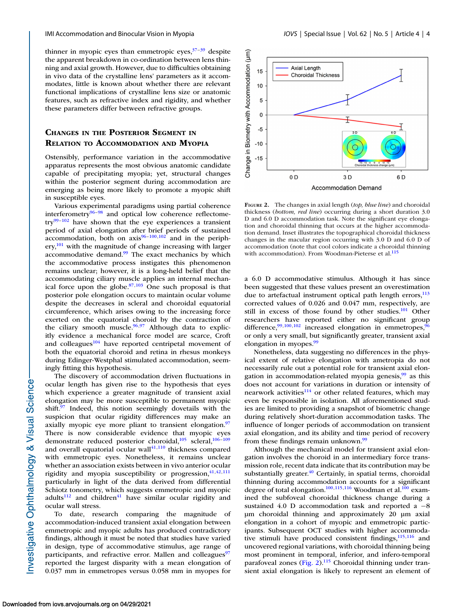thinner in myopic eyes than emmetropic eyes, $37-39$  despite the apparent breakdown in co-ordination between lens thinning and axial growth. However, due to difficulties obtaining in vivo data of the crystalline lens' parameters as it accommodates, little is known about whether there are relevant functional implications of crystalline lens size or anatomic features, such as refractive index and rigidity, and whether these parameters differ between refractive groups.

# **CHANGES IN THE POSTERIOR SEGMENT IN RELATION TO ACCOMMODATION AND MYOPIA**

Ostensibly, performance variation in the accommodative apparatus represents the most obvious anatomic candidate capable of precipitating myopia; yet, structural changes within the posterior segment during accommodation are emerging as being more likely to promote a myopic shift in susceptible eyes.

Various experimental paradigms using partial coherence interferometry $96-98$  and optical low coherence reflectome $try^{99-102}$  have shown that the eye experiences a transient period of axial elongation after brief periods of sustained accommodation, both on  $axis^{96-100,102}$  and in the periph- $\text{ery}^{\{101\}}$  with the magnitude of change increasing with larger accommodative demand.<sup>99</sup> The exact mechanics by which the accommodative process instigates this phenomenon remains unclear; however, it is a long-held belief that the accommodating ciliary muscle applies an internal mechanical force upon the globe. $87,103$  One such proposal is that posterior pole elongation occurs to maintain ocular volume despite the decreases in scleral and choroidal equatorial circumference, which arises owing to the increasing force exerted on the equatorial choroid by the contraction of the ciliary smooth muscle.<sup>96,97</sup> Although data to explicitly evidence a mechanical force model are scarce, Croft and colleagues $104$  have reported centripetal movement of both the equatorial choroid and retina in rhesus monkeys during Edinger-Westphal stimulated accommodation, seemingly fitting this hypothesis.

The discovery of accommodation driven fluctuations in ocular length has given rise to the hypothesis that eyes which experience a greater magnitude of transient axial elongation may be more susceptible to permanent myopic shift. $97$  Indeed, this notion seemingly dovetails with the suspicion that ocular rigidity differences may make an axially myopic eye more pliant to transient elongation.<sup>97</sup> There is now considerable evidence that myopic eyes demonstrate reduced posterior choroidal,<sup>105</sup> scleral,<sup>106-109</sup> and overall equatorial ocular wall $41,110$  $41,110$  thickness compared with emmetropic eyes. Nonetheless, it remains unclear whether an association exists between in vivo anterior ocular rigidity and myopia susceptibility or progression,  $41,42,111$  $41,42,111$  $41,42,111$ particularly in light of the data derived from differential Schiotz tonometry, which suggests emmetropic and myopic  $adults<sup>112</sup>$  and children<sup>[41](#page-13-0)</sup> have similar ocular rigidity and ocular wall stress.

To date, research comparing the magnitude of accommodation-induced transient axial elongation between emmetropic and myopic adults has produced contradictory findings, although it must be noted that studies have varied in design, type of accommodative stimulus, age range of participants, and refractive error. Mallen and colleagues<sup>97</sup> reported the largest disparity with a mean elongation of 0.037 mm in emmetropes versus 0.058 mm in myopes for



**FIGURE 2.** The changes in axial length (*top, blue line*) and choroidal thickness (*bottom, red line*) occurring during a short duration 3.0 D and 6.0 D accommodation task. Note the significant eye elongation and choroidal thinning that occurs at the higher accommodation demand. Inset illustrates the topographical choroidal thickness changes in the macular region occurring with 3.0 D and 6.0 D of accommodation (note that cool colors indicate a choroidal thinning with accommodation). From Woodman-Pieterse et al.<sup>11</sup>

a 6.0 D accommodative stimulus. Although it has since been suggested that these values present an overestimation due to artefactual instrument optical path length errors, $113$ corrected values of 0.026 and 0.047 mm, respectively, are still in excess of those found by other studies.<sup>101</sup> Other researchers have reported either no significant group difference,  $99,100,102$  increased elongation in emmetropes,  $96$ or only a very small, but significantly greater, transient axial elongation in myopes[.99](#page-15-0)

Nonetheless, data suggesting no differences in the physical extent of relative elongation with ametropia do not necessarily rule out a potential role for transient axial elongation in accommodation-related myopia genesis,  $\frac{99}{9}$  as this does not account for variations in duration or intensity of nearwork activities $114$  or other related features, which may even be responsible in isolation. All aforementioned studies are limited to providing a snapshot of biometric change during relatively short-duration accommodation tasks. The influence of longer periods of accommodation on transient axial elongation, and its ability and time period of recovery from these findings remain unknown.<sup>99</sup>

Although the mechanical model for transient axial elongation involves the choroid in an intermediary force transmission role, recent data indicate that its contribution may be substantially greater.<sup>40</sup> Certainly, in spatial terms, choroidal thinning during accommodation accounts for a significant degree of total elongation.<sup>100,115,116</sup> Woodman et al.<sup>100</sup> examined the subfoveal choroidal thickness change during a sustained 4.0 D accommodation task and reported a  $-8$ μm choroidal thinning and approximately 20 μm axial elongation in a cohort of myopic and emmetropic participants. Subsequent OCT studies with higher accommodative stimuli have produced consistent findings, $115,116$  and uncovered regional variations, with choroidal thinning being most prominent in temporal, inferior, and infero-temporal parafoveal zones (Fig. 2).<sup>115</sup> Choroidal thinning under transient axial elongation is likely to represent an element of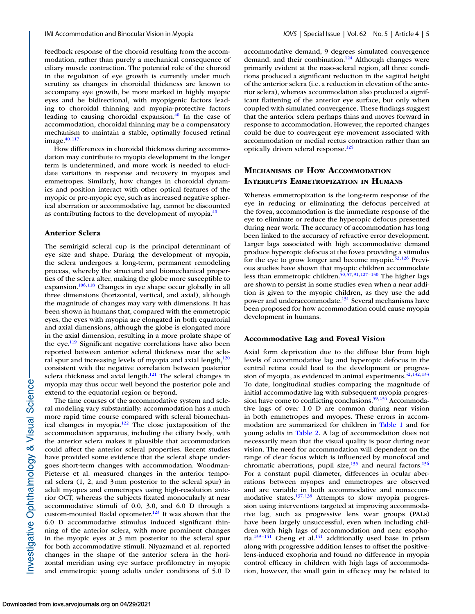feedback response of the choroid resulting from the accommodation, rather than purely a mechanical consequence of ciliary muscle contraction. The potential role of the choroid in the regulation of eye growth is currently under much scrutiny as changes in choroidal thickness are known to accompany eye growth, be more marked in highly myopic eyes and be bidirectional, with myopigenic factors leading to choroidal thinning and myopia-protective factors leading to causing choroidal expansion. $^{40}$  In the case of accommodation, choroidal thinning may be a compensatory mechanism to maintain a stable, optimally focused retinal image. $40,117$  $40,117$ 

How differences in choroidal thickness during accommodation may contribute to myopia development in the longer term is undetermined, and more work is needed to elucidate variations in response and recovery in myopes and emmetropes. Similarly, how changes in choroidal dynamics and position interact with other optical features of the myopic or pre-myopic eye, such as increased negative spherical aberration or accommodative lag, cannot be discounted as contributing factors to the development of myopia. $40$ 

### **Anterior Sclera**

The semirigid scleral cup is the principal determinant of eye size and shape. During the development of myopia, the sclera undergoes a long-term, permanent remodeling process, whereby the structural and biomechanical properties of the sclera alter, making the globe more susceptible to expansion.<sup>106,118</sup> Changes in eye shape occur globally in all three dimensions (horizontal, vertical, and axial), although the magnitude of changes may vary with dimensions. It has been shown in humans that, compared with the emmetropic eyes, the eyes with myopia are elongated in both equatorial and axial dimensions, although the globe is elongated more in the axial dimension, resulting in a more prolate shape of the eye.<sup>119</sup> Significant negative correlations have also been reported between anterior scleral thickness near the scleral spur and increasing levels of myopia and axial length, $120$ consistent with the negative correlation between posterior sclera thickness and axial length. $121$  The scleral changes in myopia may thus occur well beyond the posterior pole and extend to the equatorial region or beyond.

The time courses of the accommodative system and scleral modeling vary substantially: accommodation has a much more rapid time course compared with scleral biomechanical changes in myopia[.122](#page-15-0) The close juxtaposition of the accommodation apparatus, including the ciliary body, with the anterior sclera makes it plausible that accommodation could affect the anterior scleral properties. Recent studies have provided some evidence that the scleral shape undergoes short-term changes with accommodation. Woodman-Pieterse et al. measured changes in the anterior temporal sclera (1, 2, and 3 mm posterior to the scleral spur) in adult myopes and emmetropes using high-resolution anterior OCT, whereas the subjects fixated monocularly at near accommodative stimuli of 0.0, 3.0, and 6.0 D through a custom-mounted Badal optometer.<sup>123</sup> It was shown that the 6.0 D accommodative stimulus induced significant thinning of the anterior sclera, with more prominent changes in the myopic eyes at 3 mm posterior to the scleral spur for both accommodative stimuli. Niyazmand et al. reported changes in the shape of the anterior sclera in the horizontal meridian using eye surface profilometry in myopic and emmetropic young adults under conditions of 5.0 D accommodative demand, 9 degrees simulated convergence demand, and their combination.<sup>124</sup> Although changes were primarily evident at the naso-scleral region, all three conditions produced a significant reduction in the sagittal height of the anterior sclera (i.e. a reduction in elevation of the anterior sclera), whereas accommodation also produced a significant flattening of the anterior eye surface, but only when coupled with simulated convergence. These findings suggest that the anterior sclera perhaps thins and moves forward in response to accommodation. However, the reported changes could be due to convergent eye movement associated with accommodation or medial rectus contraction rather than an optically driven scleral response.<sup>125</sup>

# **MECHANISMS OF HOW ACCOMMODATION INTERRUPTS EMMETROPIZATION IN HUMANS**

Whereas emmetropization is the long-term response of the eye in reducing or eliminating the defocus perceived at the fovea, accommodation is the immediate response of the eye to eliminate or reduce the hyperopic defocus presented during near work. The accuracy of accommodation has long been linked to the accuracy of refractive error development. Larger lags associated with high accommodative demand produce hyperopic defocus at the fovea providing a stimulus for the eye to grow longer and become myopic.<sup>52,[126](#page-16-0)</sup> Previous studies have shown that myopic children accommodate less than emmetropic children.<sup>50,57,[91,](#page-15-0)[127–130](#page-16-0)</sup> The higher lags are shown to persist in some studies even when a near addition is given to the myopic children, as they use the add power and underaccommodate.<sup>131</sup> Several mechanisms have been proposed for how accommodation could cause myopia development in humans.

### **Accommodative Lag and Foveal Vision**

Axial form deprivation due to the diffuse blur from high levels of accommodative lag and hyperopic defocus in the central retina could lead to the development or progression of myopia, as evidenced in animal experiments.  $52,132,133$  $52,132,133$ To date, longitudinal studies comparing the magnitude of initial accommodative lag with subsequent myopia progres-sion have come to conflicting conclusions.<sup>59,[134](#page-16-0)</sup> Accommodative lags of over 1.0 D are common during near vision in both emmetropes and myopes. These errors in accommodation are summarized for children in [Table 1](#page-5-0) and for young adults in [Table 2.](#page-6-0) A lag of accommodation does not necessarily mean that the visual quality is poor during near vision. The need for accommodation will dependent on the range of clear focus which is influenced by monofocal and chromatic aberrations, pupil size, $135$  and neural factors. $136$ For a constant pupil diameter, differences in ocular aberrations between myopes and emmetropes are observed and are variable in both accommodative and nonaccommodative states[.137,138](#page-16-0) Attempts to slow myopia progression using interventions targeted at improving accommodative lag, such as progressive lens wear groups (PALs) have been largely unsuccessful, even when including children with high lags of accommodation and near esophoria.<sup>139–141</sup> Cheng et al.<sup>141</sup> additionally used base in prism along with progressive addition lenses to offset the positivelens-induced exophoria and found no difference in myopia control efficacy in children with high lags of accommodation, however, the small gain in efficacy may be related to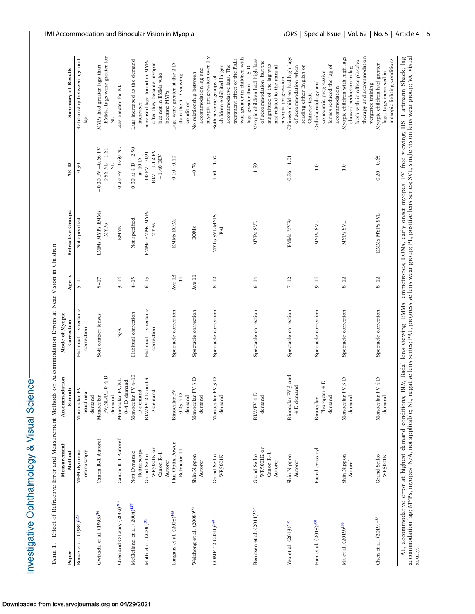Investigative Ophthalmology & Visual Science-

|                                     |                            |                            | TABLE 1. Effect of Refractive Error and Measurement Methods on Accommodation Errors at Near Vision in Children |          |                                       |                       |              |
|-------------------------------------|----------------------------|----------------------------|----------------------------------------------------------------------------------------------------------------|----------|---------------------------------------|-----------------------|--------------|
| Paper                               | Measurement<br>Method      | Accommodation<br>Stimuli   | Mode of Myopic<br>Correction                                                                                   |          | Age, y Refractive Groups              | AE, D                 | Summa        |
| Rouse et al. (1984) <sup>128</sup>  | retinoscopy<br>MEM dynamic | Monocular FV<br>usual near | Habitual spectacle<br>correction                                                                               |          | Not specified                         | $-0.30$               | Relationship |
|                                     |                            | demand                     |                                                                                                                |          |                                       |                       |              |
| Gwiazda et al. (1993) <sup>50</sup> | Canon R-1 Autoref          | Monocular                  | Soft contact lenses                                                                                            | $5 - 17$ | EMMs MYPs EMMs                        | $-0.30$ FV $-0.66$ FV | MYPs had gr  |
|                                     |                            |                            |                                                                                                                |          | $\begin{array}{c} \hline \end{array}$ |                       |              |

<span id="page-5-0"></span>

| Paper                                   | Measurement<br>Method                             | Accommodation<br>Stimuli                                     | Mode of Myopic<br>Correction     | Age, y                     | Refractive Groups             | AE, D                                                                         | Summary of Results                                                                                                                                                                                        |
|-----------------------------------------|---------------------------------------------------|--------------------------------------------------------------|----------------------------------|----------------------------|-------------------------------|-------------------------------------------------------------------------------|-----------------------------------------------------------------------------------------------------------------------------------------------------------------------------------------------------------|
|                                         |                                                   |                                                              |                                  |                            |                               |                                                                               |                                                                                                                                                                                                           |
| Rouse et al. (1984) <sup>128</sup>      | MEM dynamic                                       | Monocular FV                                                 | spectacle<br>Habitual            | $5-11$                     | Not specified                 | $-0.30$                                                                       | Relationship between age and                                                                                                                                                                              |
|                                         | retinoscopy                                       | usual near<br>demand                                         | correction                       |                            |                               |                                                                               | 1ag                                                                                                                                                                                                       |
| Gwiazda et al. (1993) <sup>50</sup>     | Canon R-1 Autoref                                 | $\text{FV}/\text{NL}/\text{PL}$ 0-4 D<br>Monocular<br>demand | Soft contact lenses              | $5 - 17$                   | EMMs MYPs EMMs<br><b>MYPs</b> | $-0.30$ FV $-0.66$ FV<br>$-0.56$ NL $-1.61\,$                                 | EMMs. Lags were greater for<br>MYPs had greater lags than<br>ž                                                                                                                                            |
| Chen and O'Leary (2002) <sup>287</sup>  | Canon R-1 Autoref                                 | Monocular FV/NL<br>$0 - 4$ D demand                          | N/A                              | $3 - 14$                   | <b>EMMs</b>                   | $-0.29$ FV $-0.69$ NL                                                         | Lags greater for NL                                                                                                                                                                                       |
| McClelland et al. (2004) <sup>127</sup> | Retinoscopy<br>Nott Dynamic                       | Monocular FV 4-10<br>D demand                                | Habitual correction              | $4-15$                     | Not specified                 | $-0.30$ at 4 D $-2.50$<br>at 10 ${\rm D}$                                     | Lags increased as the demand<br>increased                                                                                                                                                                 |
| Mutti et al. (2006) <sup>91</sup>       | WR5001K or<br>Canon R-1<br>Grand Seiko            | $\mathrm{BLV/ FV}$ 2 D and 4<br>${\bf D}$ demand             | Habitual spectacle<br>correction | $6 - 15$                   | EMMs EMMs MYPs<br><b>MYPs</b> | $\mathrm{BLV}$ –1.12 $\mathrm{FV}$<br>$-1.00$ FV $-0.91$<br>$-1.40$ $\rm BLV$ | Increased lags found in MYPs<br>after they became myopic<br>but not in EMMs who                                                                                                                           |
| Langaas et al. (2008) <sup>143</sup>    | Plus Optix Power<br>Refractor 11<br>Autoref       | Binocular FV<br>$0.25 - 4$ D<br>demand                       | Spectacle correction             | Ave $13$<br>$\frac{14}{5}$ | EMMs EOMs                     | $-0.10 - 0.10$                                                                | Lags were greater at the 2D<br>than the 4 D viewing<br>became MYPs<br>condition                                                                                                                           |
| Weizhong et al. (2008) <sup>134</sup>   | Shin-Nippon<br>Autoref                            | Monocular FV 3 D<br>demand                                   | Spectacle correction             | Ave 11                     | <b>EOMS</b>                   | $-0.76$                                                                       | accommodation lag and<br>No relationship between                                                                                                                                                          |
| COMET 2 (2011) <sup>140</sup>           | Grand Seiko<br><b>WR5001K</b>                     | Monocular FV 3 D<br>demand                                   | Spectacle correction             | $8 - 12$                   | MYPs SVL MYPs<br>PAL          | $-1.40 - 1.47$                                                                | myopia progression over 1 y<br>was greater in children with<br>treatment effect of the PALs<br>accommodative lags. The<br>lags greater than -1.5 D.<br>children exhibited larger<br>Both myopic groups of |
| Berntsen et al. (2011) <sup>139</sup>   | WR5001K or<br>Canon R-1<br>Grand Seiko<br>Autoref | BIV/FV 4D<br>demand                                          | Spectacle correction             | $6 - 14$                   | MYPs SVL                      | $-1.59$                                                                       | Myopic children had high lags<br>of accommodation, but the<br>magnitude of the lag was<br>not related to the annual<br>myopia progression                                                                 |
| Yeo et al. (2013) <sup>218</sup>        | Shin-Nippon<br>Autoref                            | Binocular FV 3 and<br>$4$ D demand                           | Spectacle correction             | $7 - 12$                   | EMMs MYPs                     | $-0.96 - 1.01$                                                                | Chinese children had high lags<br>of accommodation when<br>reading either English or<br>Chinese texts                                                                                                     |
| Han et al. (2018) <sup>288</sup>        | Fused cross cyl                                   | Phoropter $4$ D<br>demand<br>Binocular,                      | Spectacle correction             | $9 - 14$                   | MYP <sub>s</sub> SVL          | $-1.0$                                                                        | lenses reduced the lag of<br>concentric progressive<br>Orthokeratology and<br>accommodation                                                                                                               |
| Ma et al. (2019) <sup>289</sup>         | Shin-Nippon<br>Autoref                            | Monocular FV 3 D<br>demand                                   | Spectacle correction             | $8 - 12$                   | MYPs SVL                      | $-1.0$                                                                        | Myopic children with high lags<br>therapy and accommodation<br>both with in office placebo<br>showed reduction in lag<br>vergence training                                                                |
| Chen et al. (2019) <sup>130</sup>       | Grand Seiko<br><b>WR5001K</b>                     | Monocular FV 4 D<br>demand                                   | Spectacle correction             | $8 - 12$                   | EMMs MYPs SVL                 | $-0.20 - 0.65$                                                                | mesopic lighting conditions<br>Myopic children had greater<br>lags. Lags increased in                                                                                                                     |

AE, accommodative error at highest demand conditions; BLV, Badal lens viewing; EMMs, emmetropes; EOMs, early onset myopes; FV, free viewing; HS, Hartmann Shack; lag, accommodation lag; MYPs, myopes; N/A, not applicable; NL, negative lens series; PAL, progressive lens wear group; PL, positive lens series; SVL, single vision lens wear group; VA, visual AE, accommodative error at highest demand conditions; BLV, Badal lens viewing; EMMs, emnetropes; EOMs, early onset myopes; FV, free viewing; HS, Hartmann Shack; lag, accommodation lag; MYPs, myopes; N/A, not applicable; NL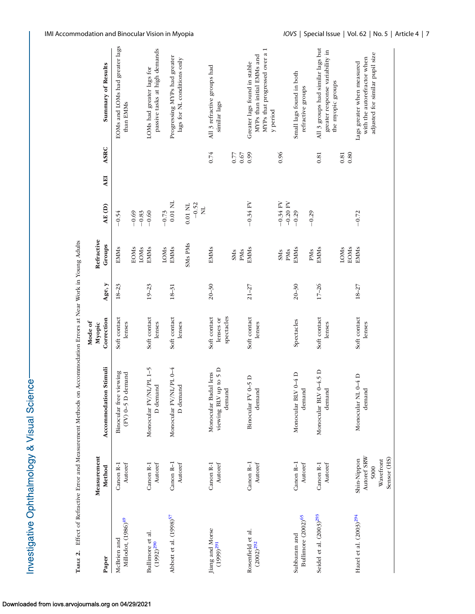| <b>こくこのこく こう</b><br>ì   |
|-------------------------|
| <b>&amp; Visua</b>      |
| in diam<br>5<br>s<br>14 |
| ここまくてき<br>١             |

| ï<br>)<br>i<br>i<br>l                                                                                       |
|-------------------------------------------------------------------------------------------------------------|
| l<br>I<br>֘֒<br>I<br>I<br>Ì                                                                                 |
| j<br>ì                                                                                                      |
| l<br>I<br>ׇ֖֖֖֦֦֧֦֦֦֚֚֚֚֚֚֚֚֚֚֚֚֚֬֕֘֡֡֡֡֡֡֬֡֬֓֡֬֓֡֡֬֓֞֡֡֬֓֞֡֬֓֞֓֡֬֓֞֓֞֬֬֓֞֬֓֞֬֞֓֞֬֝֓֞֬֝֬֓֞֬֝֓֞֬֝֞<br>I<br>i |
| ļ<br>j<br>İ<br>n Ta<br>۱<br>֕<br>i<br>I<br>ī                                                                |

<span id="page-6-0"></span>

|                                     |                            |                                 | Mode of                |           |             |                     |            |                                      |                                                         |
|-------------------------------------|----------------------------|---------------------------------|------------------------|-----------|-------------|---------------------|------------|--------------------------------------|---------------------------------------------------------|
|                                     | Measurement                |                                 | Myopic                 |           | Refractive  |                     |            |                                      |                                                         |
| Paper                               | Method                     | Stimuli<br>Accommodation        | Correction             | Age, y    | Groups      | AE (D)              | <b>AEI</b> | <b>ASRC</b>                          | Summary of Results                                      |
| McBrien and                         | Canon R-1                  | Binocular free viewing          | Soft contact           | $18 - 23$ | <b>EMMs</b> | $-0.54$             |            |                                      | EOMs and LOMs had greater lags                          |
| Millodot, (1986) <sup>49</sup>      | Autoref                    | $(FV)$ 0-5 D demand             | lenses                 |           |             |                     |            | than EMMs                            |                                                         |
|                                     |                            |                                 |                        |           | <b>EOMs</b> | $-0.69$             |            |                                      |                                                         |
|                                     |                            |                                 |                        |           | LOMS        |                     |            |                                      |                                                         |
| Bullimore et al.                    | Canon R-1                  | Monocular FV/NL/PL 1-5          | Soft contact           | $19 - 23$ | <b>EMMs</b> | $-0.83$<br>$-0.60$  |            | LOMs had greater lags for            |                                                         |
| $(1992)^{290}$                      | Autoref                    | D demand                        | lenses                 |           |             |                     |            |                                      | passive tasks at high demands                           |
|                                     |                            |                                 |                        |           | LOMS        | $-0.73$             |            |                                      |                                                         |
| Abbott et al. (1998) <sup>57</sup>  | Canon <sub>R-1</sub>       | Monocular FV/NL/PL 0-4          | Soft contact           | $18 - 31$ | <b>EMMs</b> | $0.01$ NL           |            |                                      | Progressing MYPs had greater                            |
|                                     | Autoref                    | D demand                        | lenses                 |           |             |                     |            |                                      | lags for NL conditions only                             |
|                                     |                            |                                 |                        |           | SMs PMs     | $0.01\ \mathrm{NL}$ |            |                                      |                                                         |
|                                     |                            |                                 |                        |           |             | $-0.52$             |            |                                      |                                                         |
|                                     |                            |                                 |                        |           |             | $\Xi$               |            |                                      |                                                         |
| Jiang and Morse                     | Canon R-1                  | Monocular Badal lens            | Soft contact           | $20 - 30$ | <b>EMMs</b> |                     |            | All 3 refractive groups had<br>0.74  |                                                         |
| $(1999)$ <sup>291</sup>             | Autoref                    | viewing BLV up to $5$ D demand  | lenses or              |           |             |                     |            | similar lags                         |                                                         |
|                                     |                            |                                 | spectacles             |           |             |                     |            |                                      |                                                         |
|                                     |                            |                                 |                        |           | <b>SMs</b>  |                     |            | 0.77                                 |                                                         |
|                                     |                            |                                 |                        |           | PMs         |                     |            | $0.67$                               |                                                         |
| Rosenfield et al.                   | Canon <sub>R-1</sub>       | Binocular FV 0-5 D              | Soft contact           | $21 - 27$ | <b>EMMs</b> | $-0.34$ FV          |            | Greater lags found in stable<br>0.99 |                                                         |
| $(2002)^{292}$                      | Autoref                    | demand                          | lenses                 |           |             |                     |            |                                      | MYPs than initial EMMs and                              |
|                                     |                            |                                 |                        |           |             |                     |            |                                      | $\overline{\phantom{0}}$<br>MYPs that progressed over a |
|                                     |                            |                                 |                        |           |             |                     |            | y period                             |                                                         |
|                                     |                            |                                 |                        |           | <b>SMS</b>  | $-0.34$ FV          |            | 0.96                                 |                                                         |
|                                     |                            |                                 |                        |           | PMs         | $-0.20$ FV          |            |                                      |                                                         |
| Subbaram and                        | Canon R-1                  | Monocular BLV 0-4 D             | Spectacles             | $20 - 30$ | <b>EMMS</b> | $-0.29$             |            | Small lags found in both             |                                                         |
| Bullimore (2002) <sup>65</sup>      | Autoref                    | demand                          |                        |           |             |                     |            | refractive groups                    |                                                         |
|                                     |                            |                                 |                        |           | PMs         | $-0.29$             |            |                                      |                                                         |
| Seidel et al. (2003) <sup>293</sup> | Canon R-1                  | Monocular BLV 0-4.5 D<br>demand | Soft contact           | $17 - 26$ | <b>EMMs</b> |                     |            | 0.81                                 | All 3 groups had similar lags but                       |
|                                     | Autoref                    |                                 | lenses                 |           |             |                     |            |                                      | greater response variability in                         |
|                                     |                            |                                 |                        |           |             |                     |            | the myopic groups                    |                                                         |
|                                     |                            |                                 |                        |           | LOMS        |                     |            | 0.81                                 |                                                         |
|                                     |                            |                                 |                        |           | <b>EOMs</b> |                     |            | 0.80                                 |                                                         |
| Hazel et al. (2003) <sup>294</sup>  | Autoref SRW<br>Shin-Nippon | Monocular NL 0-4 D<br>demand    | Soft contact<br>lenses | $18 - 27$ | <b>EMMs</b> | $-0.72$             |            | Lags greater when measured           | with the autorefractor when                             |
|                                     | Wavefront<br>5000          |                                 |                        |           |             |                     |            |                                      | adjusted for similar pupil size                         |
|                                     | Sensor (HS)                |                                 |                        |           |             |                     |            |                                      |                                                         |

Тавіе 2.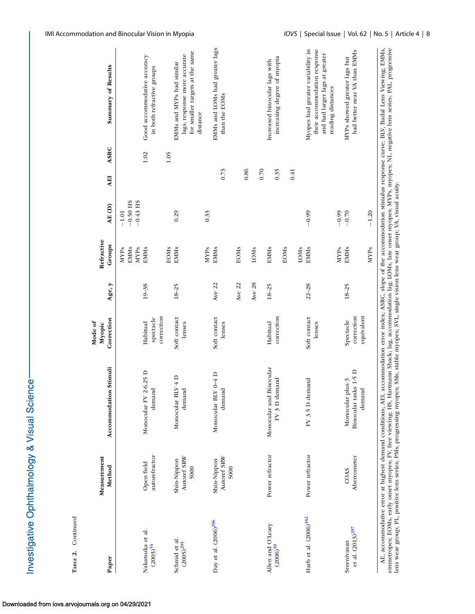| Paper                             | Measurement<br>Method              | Accommodation Stimuli                             | Correction<br>Myopic                | Age, y    | Refractive<br>Groups             | AE (D)                              | ASRC<br><b>AEI</b> | Summary of Results                                                                                       |
|-----------------------------------|------------------------------------|---------------------------------------------------|-------------------------------------|-----------|----------------------------------|-------------------------------------|--------------------|----------------------------------------------------------------------------------------------------------|
|                                   |                                    |                                                   |                                     |           | EMMs<br>MYP <sub>s</sub><br>MYPs | $-0.50$ HS<br>$-0.43$ HS<br>$-1.01$ |                    |                                                                                                          |
| Nakatsuka et al.<br>$(2003)^{54}$ | autorefractor<br>Open field        | Monocular FV 2-6.25 D<br>demand                   | correction<br>spectacle<br>Habitual | $19 - 38$ | <b>EMMs</b>                      |                                     | 1.02               | Good accommodative accuracy<br>in both refractive groups                                                 |
|                                   |                                    |                                                   |                                     |           | EOMS                             |                                     | 1.05               |                                                                                                          |
| Schmid et al.<br>$(2005)^{295}$   | Autoref SRW<br>Shin-Nippon<br>5000 | Monocular BLV 4 D<br>$\overline{\sigma}$<br>deman | Soft contact<br>lenses              | $18 - 25$ | <b>EMMs</b>                      | 0.29                                |                    | for smaller targets at the same<br>lags, response more accurate<br>EMMs and MYPs had similar<br>distance |
|                                   |                                    |                                                   |                                     |           | MYPs                             | 0.33                                |                    |                                                                                                          |
| Day et al. (2006) <sup>296</sup>  | Autoref SRW<br>Shin-Nippon<br>5000 | Monocular BLV 0-4 D<br>demand                     | Soft contact<br>lenses              | Ave 22    | <b>EMMs</b>                      |                                     | 0.73               | EMMs and LOMs had greater lags<br>than the EOMs                                                          |
|                                   |                                    |                                                   |                                     | Ave 22    | <b>EOMS</b>                      |                                     |                    |                                                                                                          |
|                                   |                                    |                                                   |                                     |           |                                  |                                     | 0.86               |                                                                                                          |
|                                   |                                    |                                                   |                                     | Ave 28    | LOMS                             |                                     |                    |                                                                                                          |
|                                   |                                    |                                                   |                                     |           |                                  |                                     | 0.70               |                                                                                                          |
| Allen and O'Leary                 | Power refractor                    | Monocular and Binocular                           | Habitual                            | $18 - 25$ | <b>EMMs</b>                      |                                     |                    | Increased binocular lags with                                                                            |
| $(2006)$ <sup>59</sup>            |                                    | FV 3 D demand                                     | correction                          |           |                                  |                                     | 0.35               | increasing degree of myopia                                                                              |
|                                   |                                    |                                                   |                                     |           | EOMS                             |                                     | 0.41               |                                                                                                          |
|                                   |                                    |                                                   |                                     |           | LOMS                             |                                     |                    |                                                                                                          |
| Harb et al. (2006) <sup>162</sup> | Power refractor                    | FV 3.5 D demand                                   | Soft contact                        | $22 - 28$ | <b>EMMs</b>                      | $-0.99$                             |                    | Myopes had greater variability in                                                                        |
|                                   |                                    |                                                   | lenses                              |           |                                  |                                     |                    | their accommodation response                                                                             |
|                                   |                                    |                                                   |                                     |           |                                  |                                     |                    | and had larger lags at greater                                                                           |
|                                   |                                    |                                                   |                                     |           |                                  |                                     |                    | reading distances                                                                                        |
|                                   |                                    |                                                   |                                     |           | <b>MYPs</b>                      | $-0.99$                             |                    |                                                                                                          |
| Sreenivasan                       | COAS                               | Monocular plus 3                                  | Spectacle                           | $18 - 25$ | <b>EMMs</b>                      | $-0.70$                             |                    | MYPs showed greater lags but                                                                             |
| et al. $(2013)^{297}$             | Aberrometer                        | Binocular tasks 1-5 D                             | correction                          |           |                                  |                                     |                    | had better near VA than EMMs                                                                             |
|                                   |                                    | demand                                            | equivalent                          |           |                                  |                                     |                    |                                                                                                          |
|                                   |                                    |                                                   |                                     |           | MYP <sub>s</sub>                 | $-1.20$                             |                    |                                                                                                          |

**TABLE 2.** Continued

TABLE 2. Continued

Investigative Ophthalmology & Visual Science-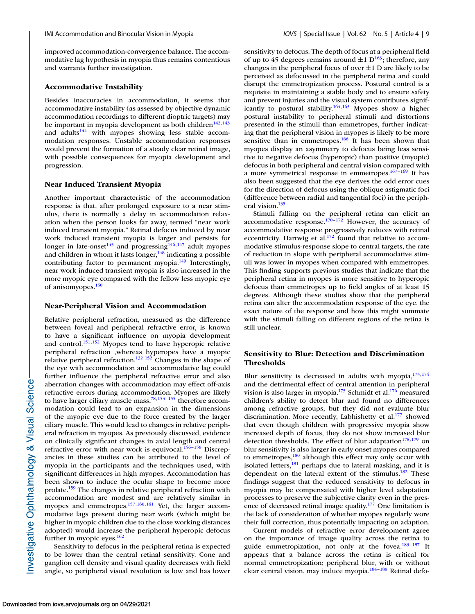improved accommodation-convergence balance. The accommodative lag hypothesis in myopia thus remains contentious and warrants further investigation.

#### **Accommodative Instability**

Besides inaccuracies in accommodation, it seems that accommodative instability (as assessed by objective dynamic accommodation recordings to different dioptric targets) may be important in myopia development as both children<sup>142,143</sup> and adults $144$  with myopes showing less stable accommodation responses. Unstable accommodation responses would prevent the formation of a steady clear retinal image, with possible consequences for myopia development and progression.

### **Near Induced Transient Myopia**

Another important characteristic of the accommodation response is that, after prolonged exposure to a near stimulus, there is normally a delay in accommodation relaxation when the person looks far away, termed "near work induced transient myopia." Retinal defocus induced by near work induced transient myopia is larger and persists for longer in late-onset<sup>[145](#page-16-0)</sup> and progressing<sup>146,147</sup> adult myopes and children in whom it lasts longer, $148$  indicating a possible contributing factor to permanent myopia. $149$  Interestingly, near work induced transient myopia is also increased in the more myopic eye compared with the fellow less myopic eye of anisomyopes[.150](#page-16-0)

#### **Near-Peripheral Vision and Accommodation**

Relative peripheral refraction, measured as the difference between foveal and peripheral refractive error, is known to have a significant influence on myopia development and control.<sup>151,152</sup> Myopes tend to have hyperopic relative peripheral refraction ,whereas hyperopes have a myopic relative peripheral refraction. $132,152$  Changes in the shape of the eye with accommodation and accommodative lag could further influence the peripheral refractive error and also aberration changes with accommodation may effect off-axis refractive errors during accommodation. Myopes are likely to have larger ciliary muscle mass[,78](#page-14-0)[,153–155](#page-16-0) therefore accommodation could lead to an expansion in the dimensions of the myopic eye due to the force created by the larger ciliary muscle. This would lead to changes in relative peripheral refraction in myopes. As previously discussed, evidence on clinically significant changes in axial length and central refractive error with near work is equivocal. $156-158$  Discrepancies in these studies can be attributed to the level of myopia in the participants and the techniques used, with significant differences in high myopes. Accommodation has been shown to induce the ocular shape to become more prolate.<sup>159</sup> The changes in relative peripheral refraction with accommodation are modest and are relatively similar in myopes and emmetropes[.157,160,161](#page-16-0) Yet, the larger accommodative lags present during near work (which might be higher in myopic children due to the close working distances adopted) would increase the peripheral hyperopic defocus further in myopic eyes. $162$ 

Sensitivity to defocus in the peripheral retina is expected to be lower than the central retinal sensitivity. Cone and ganglion cell density and visual quality decreases with field angle, so peripheral visual resolution is low and has lower sensitivity to defocus. The depth of focus at a peripheral field of up to 45 degrees remains around  $\pm 1$  D<sup>163</sup>; therefore, any changes in the peripheral focus of over  $\pm 1$  D are likely to be perceived as defocussed in the peripheral retina and could disrupt the emmetropization process. Postural control is a requisite in maintaining a stable body and to ensure safety and prevent injuries and the visual system contributes significantly to postural stability.<sup>164,165</sup> Myopes show a higher postural instability to peripheral stimuli and distortions presented in the stimuli than emmetropes, further indicating that the peripheral vision in myopes is likely to be more sensitive than in emmetropes. $166$  It has been shown that myopes display an asymmetry to defocus being less sensitive to negative defocus (hyperopic) than positive (myopic) defocus in both peripheral and central vision compared with a more symmetrical response in emmetropes. $167-169$  It has also been suggested that the eye derives the odd error cues for the direction of defocus using the oblique astigmatic foci (difference between radial and tangential foci) in the peripheral vision.<sup>135</sup>

Stimuli falling on the peripheral retina can elicit an accommodative response. $170-172$  However, the accuracy of accommodative response progressively reduces with retinal eccentricity. Hartwig et al.<sup>172</sup> found that relative to accommodative stimulus-response slope to central targets, the rate of reduction in slope with peripheral accommodative stimuli was lower in myopes when compared with emmetropes. This finding supports previous studies that indicate that the peripheral retina in myopes is more sensitive to hyperopic defocus than emmetropes up to field angles of at least 15 degrees. Although these studies show that the peripheral retina can alter the accommodation response of the eye, the exact nature of the response and how this might summate with the stimuli falling on different regions of the retina is still unclear.

# **Sensitivity to Blur: Detection and Discrimination Thresholds**

Blur sensitivity is decreased in adults with myopia, $173,174$ and the detrimental effect of central attention in peripheral vision is also larger in myopia. $175$  Schmidt et al. $176$  measured children's ability to detect blur and found no differences among refractive groups, but they did not evaluate blur discrimination. More recently, Labhishetty et al.<sup>177</sup> showed that even though children with progressive myopia show increased depth of focus, they do not show increased blur detection thresholds. The effect of blur adaptation<sup>178,179</sup> on blur sensitivity is also larger in early onset myopes compared to emmetropes, $180$  although this effect may only occur with isolated letters, $\frac{181}{181}$  perhaps due to lateral masking, and it is dependent on the lateral extent of the stimulus.<sup>182</sup> These findings suggest that the reduced sensitivity to defocus in myopia may be compensated with higher level adaptation processes to preserve the subjective clarity even in the presence of decreased retinal image quality.<sup>177</sup> One limitation is the lack of consideration of whether myopes regularly wore their full correction, thus potentially impacting on adaption.

Current models of refractive error development agree on the importance of image quality across the retina to guide emmetropization, not only at the fovea.<sup>183-187</sup> It appears that a balance across the retina is critical for normal emmetropization; peripheral blur, with or without clear central vision, may induce myopia.<sup>184-188</sup> Retinal defo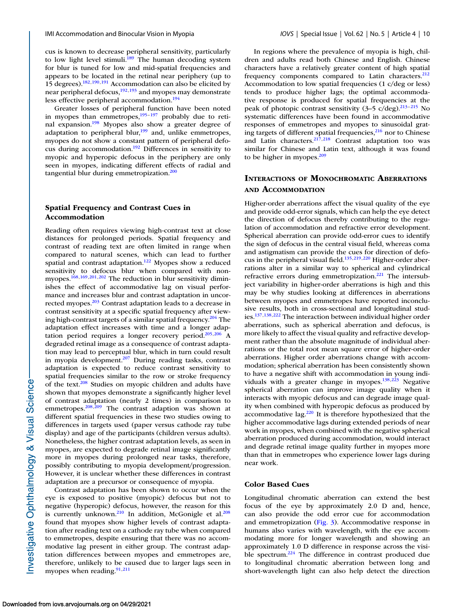cus is known to decrease peripheral sensitivity, particularly to low light level stimuli.<sup>189</sup> The human decoding system for blur is tuned for low and mid-spatial frequencies and appears to be located in the retinal near periphery (up to 15 degrees). $182,190,191$  Accommodation can also be elicited by near peripheral defocus, $192,193$  and myopes may demonstrate less effective peripheral accommodation. $194$ 

Greater losses of peripheral function have been noted in myopes than emmetropes,  $195-197$  probably due to retinal expansion[.198](#page-17-0) Myopes also show a greater degree of adaptation to peripheral blur,<sup>199</sup> and, unlike emmetropes, myopes do not show a constant pattern of peripheral defocus during accommodation[.192](#page-17-0) Differences in sensitivity to myopic and hyperopic defocus in the periphery are only seen in myopes, indicating different effects of radial and tangential blur during emmetropization.<sup>200</sup>

## **Spatial Frequency and Contrast Cues in Accommodation**

Reading often requires viewing high-contrast text at close distances for prolonged periods. Spatial frequency and contrast of reading text are often limited in range when compared to natural scenes, which can lead to further spatial and contrast adaptation[.122](#page-15-0) Myopes show a reduced sensitivity to defocus blur when compared with nonmyopes[.168,169,201,202](#page-17-0) The reduction in blur sensitivity diminishes the effect of accommodative lag on visual performance and increases blur and contrast adaptation in uncorrected myopes.<sup>203</sup> Contrast adaptation leads to a decrease in contrast sensitivity at a specific spatial frequency after viewing high-contrast targets of a similar spatial frequency.<sup>204</sup> The adaptation effect increases with time and a longer adaptation period requires a longer recovery period.<sup>205,206</sup> A degraded retinal image as a consequence of contrast adaptation may lead to perceptual blur, which in turn could result in myopia development.<sup>207</sup> During reading tasks, contrast adaptation is expected to reduce contrast sensitivity to spatial frequencies similar to the row or stroke frequency of the text.<sup>208</sup> Studies on myopic children and adults have shown that myopes demonstrate a significantly higher level of contrast adaptation (nearly 2 times) in comparison to emmetropes.<sup>208,209</sup> The contrast adaption was shown at different spatial frequencies in these two studies owing to differences in targets used (paper versus cathode ray tube display) and age of the participants (children versus adults). Nonetheless, the higher contrast adaptation levels, as seen in myopes, are expected to degrade retinal image significantly more in myopes during prolonged near tasks, therefore, possibly contributing to myopia development/progression. However, it is unclear whether these differences in contrast adaptation are a precursor or consequence of myopia.

Contrast adaptation has been shown to occur when the eye is exposed to positive (myopic) defocus but not to negative (hyperopic) defocus, however, the reason for this is currently unknown.<sup>210</sup> In addition, McGonigle et al.<sup>208</sup> found that myopes show higher levels of contrast adaptation after reading text on a cathode ray tube when compared to emmetropes, despite ensuring that there was no accommodative lag present in either group. The contrast adaptation differences between myopes and emmetropes are, therefore, unlikely to be caused due to larger lags seen in myopes when reading. $91,211$  $91,211$ 

In regions where the prevalence of myopia is high, children and adults read both Chinese and English. Chinese characters have a relatively greater content of high spatial frequency components compared to Latin characters.<sup>212</sup> Accommodation to low spatial frequencies (1 c/deg or less) tends to produce higher lags; the optimal accommodative response is produced for spatial frequencies at the peak of photopic contrast sensitivity  $(3-5 \text{ c/deg})^{213-215}$  No systematic differences have been found in accommodative responses of emmetropes and myopes to sinusoidal grating targets of different spatial frequencies, $216$  nor to Chinese and Latin characters.<sup>217</sup>,<sup>218</sup> Contrast adaptation too was similar for Chinese and Latin text, although it was found to be higher in myopes. $209$ 

# **INTERACTIONS OF MONOCHROMATIC ABERRATIONS AND ACCOMMODATION**

Higher-order aberrations affect the visual quality of the eye and provide odd-error signals, which can help the eye detect the direction of defocus thereby contributing to the regulation of accommodation and refractive error development. Spherical aberration can provide odd-error cues to identify the sign of defocus in the central visual field, whereas coma and astigmatism can provide the cues for direction of defocus in the peripheral visual field. $135,219,220$  $135,219,220$  Higher-order aberrations alter in a similar way to spherical and cylindrical refractive errors during emmetropization.<sup>221</sup> The intersubject variability in higher-order aberrations is high and this may be why studies looking at differences in aberrations between myopes and emmetropes have reported inconclusive results, both in cross-sectional and longitudinal studies[.137,138](#page-16-0)[,222](#page-18-0) The interaction between individual higher order aberrations, such as spherical aberration and defocus, is more likely to affect the visual quality and refractive development rather than the absolute magnitude of individual aberrations or the total root mean square error of higher-order aberrations. Higher order aberrations change with accommodation; spherical aberration has been consistently shown to have a negative shift with accommodation in young indi-viduals with a greater change in myopes.<sup>138,[223](#page-18-0)</sup> Negative spherical aberration can improve image quality when it interacts with myopic defocus and can degrade image quality when combined with hyperopic defocus as produced by accommodative lag[.220](#page-18-0) It is therefore hypothesized that the higher accommodative lags during extended periods of near work in myopes, when combined with the negative spherical aberration produced during accommodation, would interact and degrade retinal image quality further in myopes more than that in emmetropes who experience lower lags during near work.

## **Color Based Cues**

Longitudinal chromatic aberration can extend the best focus of the eye by approximately 2.0 D and, hence, can also provide the odd error cue for accommodation and emmetropization [\(Fig. 3\)](#page-10-0). Accommodative response in humans also varies with wavelength, with the eye accommodating more for longer wavelength and showing an approximately 1.0 D difference in response across the visible spectrum.<sup>224</sup> The difference in contrast produced due to longitudinal chromatic aberration between long and short-wavelength light can also help detect the direction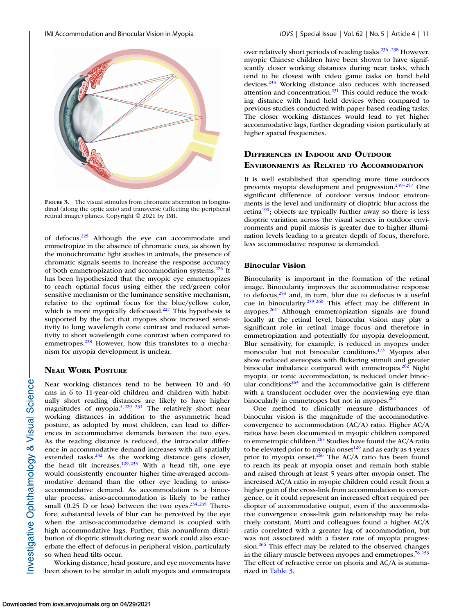<span id="page-10-0"></span>

**FIGURE 3.** The visual stimulus from chromatic aberration in longitudinal (along the optic axis) and transverse (affecting the peripheral retinal image) planes. Copyright © 2021 by IMI.

of defocus[.225](#page-18-0) Although the eye can accommodate and emmetropize in the absence of chromatic cues, as shown by the monochromatic light studies in animals, the presence of chromatic signals seems to increase the response accuracy of both emmetropization and accommodation systems.<sup>226</sup> It has been hypothesized that the myopic eye emmetropizes to reach optimal focus using either the red/green color sensitive mechanism or the luminance sensitive mechanism, relative to the optimal focus for the blue/yellow color, which is more myopically defocused.<sup>227</sup> This hypothesis is supported by the fact that myopes show increased sensitivity to long wavelength cone contrast and reduced sensitivity to short wavelength cone contrast when compared to emmetropes.<sup>228</sup> However, how this translates to a mechanism for myopia development is unclear.

## **NEAR WORK POSTURE**

Near working distances tend to be between 10 and 40 cms in 6 to 11-year-old children and children with habitually short reading distances are likely to have higher magnitudes of myopia.<sup>4,229-231</sup> The relatively short near working distances in addition to the asymmetric head posture, as adopted by most children, can lead to differences in accommodative demands between the two eyes. As the reading distance is reduced, the intraocular difference in accommodative demand increases with all spatially extended tasks.<sup>232</sup> As the working distance gets closer, the head tilt increases.<sup>129[,233](#page-18-0)</sup> With a head tilt, one eye would consistently encounter higher time-averaged accommodative demand than the other eye leading to anisoaccommodative demand. As accommodation is a binocular process, aniso-accommodation is likely to be rather small (0.25 D or less) between the two eyes. $234,235$  Therefore, substantial levels of blur can be perceived by the eye when the aniso-accommodative demand is coupled with high accommodative lags. Further, this nonuniform distribution of dioptric stimuli during near work could also exacerbate the effect of defocus in peripheral vision, particularly so when head tilts occur.

Working distance, head posture, and eye movements have been shown to be similar in adult myopes and emmetropes over relatively short periods of reading tasks.<sup>236-238</sup> However, myopic Chinese children have been shown to have significantly closer working distances during near tasks, which tend to be closest with video game tasks on hand held devices.<sup>233</sup> Working distance also reduces with increased attention and concentration. $231$  This could reduce the working distance with hand held devices when compared to previous studies conducted with paper based reading tasks. The closer working distances would lead to yet higher accommodative lags, further degrading vision particularly at higher spatial frequencies.

# **DIFFERENCES IN INDOOR AND OUTDOOR ENVIRONMENTS AS RELATED TO ACCOMMODATION**

It is well established that spending more time outdoors prevents myopia development and progression.<sup>239-[257](#page-19-0)</sup> One significant difference of outdoor versus indoor environments is the level and uniformity of dioptric blur across the retina<sup>190</sup>; objects are typically further away so there is less dioptric variation across the visual scenes in outdoor environments and pupil miosis is greater due to higher illumination levels leading to a greater depth of focus, therefore, less accommodative response is demanded.

#### **Binocular Vision**

Binocularity is important in the formation of the retinal image. Binocularity improves the accommodative response to defocus, $258$  and, in turn, blur due to defocus is a useful cue in binocularity.<sup>259,260</sup> This effect may be different in myopes.<sup>261</sup> Although emmetropization signals are found locally at the retinal level, binocular vision may play a significant role in retinal image focus and therefore in emmetropization and potentially for myopia development. Blur sensitivity, for example, is reduced in myopes under monocular but not binocular conditions.<sup>173</sup> Myopes also show reduced stereopsis with flickering stimuli and greater binocular imbalance compared with emmetropes. $262$  Night myopia, or tonic accommodation, is reduced under binocular conditions $263$  and the accommodative gain is different with a translucent occluder over the nonviewing eye than binocularly in emmetropes but not in myopes.<sup>264</sup>

One method to clinically measure disturbances of binocular vision is the magnitude of the accommodativeconvergence to accommodation (AC/A) ratio. Higher AC/A ratios have been documented in myopic children compared to emmetropic children.<sup>265</sup> Studies have found the AC/A ratio to be elevated prior to myopia onset $126$  and as early as 4 years prior to myopia onset.<sup>266</sup> The AC/A ratio has been found to reach its peak at myopia onset and remain both stable and raised through at least 5 years after myopia onset. The increased AC/A ratio in myopic children could result from a higher gain of the cross-link from accommodation to convergence, or it could represent an increased effort required per diopter of accommodative output, even if the accommodative convergence cross-link gain relationship may be relatively constant. Mutti and colleagues found a higher AC/A ratio correlated with a greater lag of accommodation, but was not associated with a faster rate of myopia progression.<sup>266</sup> This effect may be related to the observed changes in the ciliary muscle between myopes and emmetropes. $78,153$  $78,153$ The effect of refractive error on phoria and AC/A is summarized in [Table 3.](#page-11-0)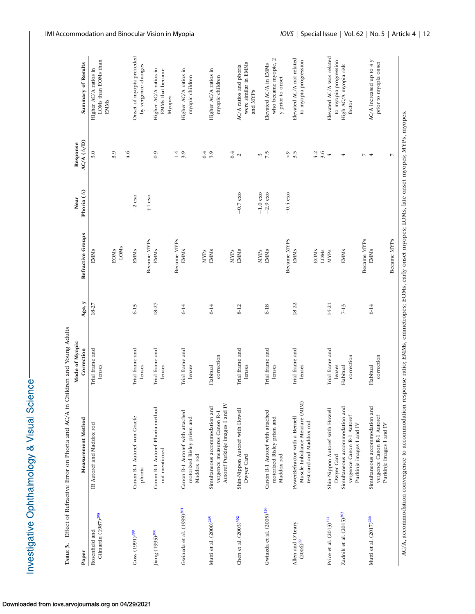| りくとうごくしょ<br>j<br>;                             |
|------------------------------------------------|
|                                                |
|                                                |
| ֧ <u>֓</u> ֪֪֪֪֪֪֪֪֪֪֪֪֪֪֪֪֪֪֪֪֪֪֪֪֪֪֪֪֪֪֪֪֪֧֓ |
| ミニキCてこもく                                       |

<span id="page-11-0"></span>

| Тавье 3.                                          | Effect of Refractive Error on Phoria and AC/A in Children and Young Adults |                              |           |                     |                              |                        |                                                             |
|---------------------------------------------------|----------------------------------------------------------------------------|------------------------------|-----------|---------------------|------------------------------|------------------------|-------------------------------------------------------------|
| Paper                                             | Measurement Method                                                         | Mode of Myopic<br>Correction | Age, y    | Refractive Groups   | Phoria $(\triangle)$<br>Near | AC/A (A/D)<br>Response | Summary of Results                                          |
| Gilmartin (1987) <sup>298</sup><br>Rosenfield and | IR Autoref and Maddox rod                                                  | Trial frame and<br>lenses    | 18-27     | <b>EMMs</b>         |                              | 3.0                    | LOMs than EOMs than<br>Higher AC/A ratios in<br><b>EMMs</b> |
|                                                   |                                                                            |                              |           | LOMS<br><b>EOMs</b> |                              | 3.9                    |                                                             |
|                                                   |                                                                            |                              |           |                     |                              | 4.6                    |                                                             |
| $Goss(1991)^{299}$                                | Canon R-1 Autoref von Graefe                                               | Trial frame and              | $6-15$    | <b>EMMs</b>         | $-2$ $\cos$                  |                        | Onset of myopia preceded                                    |
|                                                   | phoria                                                                     | lenses                       |           | Became MYPs         | $+1$ eso                     |                        | by vergence changes                                         |
| Jiang (1995) <sup>300</sup>                       | Canon R-1 Autoref Phoria method                                            | Trial frame and              | 18-27     | EMMs                |                              | 0.9                    | Higher AC/A ratios in                                       |
|                                                   | not mentioned                                                              | lenses                       |           |                     |                              |                        | EMMs that became                                            |
|                                                   |                                                                            |                              |           | Became MYPs         |                              | 1.4                    | Myopes                                                      |
| Gwiazda et al. (1999) <sup>301</sup>              | Canon R-1 Autoref with attached                                            | Trial frame and              | $6 - 14$  | EMMS                |                              | 3.9                    | Higher AC/A ratios in                                       |
|                                                   | motorized Risley prism and<br>Maddox rod                                   | lenses                       |           |                     |                              |                        | myopic children                                             |
|                                                   |                                                                            |                              |           | MYPs                |                              | 6.4                    |                                                             |
| Mutti et al. (2000) <sup>265</sup>                | Simultaneous accommodation and                                             | Habitual                     | $6 - 14$  | <b>EMMs</b>         |                              | 3.9                    | Higher AC/A ratios in                                       |
|                                                   | Autoref Purkinje images I and IV<br>vergence measures Canon R-1            | correction                   |           |                     |                              |                        | myopic children                                             |
|                                                   |                                                                            |                              |           | <b>MYPs</b>         |                              | 6.4                    |                                                             |
| Chen et al. (2003) <sup>302</sup>                 | Shin-Nippon Autoref with Howell                                            | Trial frame and              | 8-12      | EMMs                | $-0.7$ exo                   | $\mathbf{\sim}$        | AC/A ratios and phoria                                      |
|                                                   | Dwyer Card                                                                 | lenses                       |           |                     |                              |                        | were similar in EMMs<br>and MYPs                            |
|                                                   |                                                                            |                              |           | <b>MYPs</b>         | $-1.0$ exo                   |                        |                                                             |
| Gwiazda et al. (2005) <sup>126</sup>              | Canon R-1 Autoref with attached                                            | Trial frame and              | $6 - 18$  | <b>EMMs</b>         | $-2.9$ exo                   | $\frac{2}{7}$          | Elevated AC/A in EMMs                                       |
|                                                   | motorized Risley prism and                                                 | lenses                       |           |                     |                              |                        | who became myopic, 2                                        |
|                                                   | Maddox rod                                                                 |                              |           |                     |                              |                        | y prior to onset                                            |
|                                                   |                                                                            |                              |           | Became MYPs         | $-0.4$ exo                   | $\frac{2}{3.5}$        |                                                             |
| Allen and O'Leary                                 | PowerRefractor with a Bernell                                              | Trial frame and              | 18-22     | <b>EMMS</b>         |                              |                        | Elevated AC/A not related                                   |
| $(2006)^{59}$                                     | Muscle Imbalance Measure (MIM)<br>test card and Maddox rod                 | lenses                       |           |                     |                              |                        | to myopia progression                                       |
|                                                   |                                                                            |                              |           | <b>EOMS</b>         |                              | 4.2                    |                                                             |
|                                                   |                                                                            |                              |           | LOMS                |                              | 3.6                    |                                                             |
| Price et al. (2013) <sup>274</sup>                | Shin-Nippon Autoref with Howell                                            | Trial frame and              | $14 - 21$ | MYPs                |                              | 4                      | Elevated AC/A was related                                   |
|                                                   | Dwyer Card                                                                 | lenses                       |           |                     |                              |                        | to myopia progression                                       |
| Zadnik et al. (2015) <sup>303</sup>               | Simultaneous accommodation and                                             | Habitual                     | $7 - 13$  | <b>EMMs</b>         |                              | 4                      | High AC/A myopia risk                                       |
|                                                   | vergence Canon R-1 Autoref<br>Purkinje images I and IV                     | correction                   |           |                     |                              |                        | factor                                                      |
|                                                   |                                                                            |                              |           | Became MYPs         |                              | フィ                     |                                                             |
| Mutti et al. (2017) <sup>266</sup>                | Simultaneous accommodation and                                             | Habitual                     | $6 - 14$  | <b>EMMs</b>         |                              |                        | AC/A increased up to 4 y                                    |
|                                                   | vergence Canon R-1 Autoref<br>Purkinje images I and IV                     | correction                   |           |                     |                              |                        | prior to myopia onset                                       |
|                                                   |                                                                            |                              |           | Became MYPs         |                              | L                      |                                                             |

AC/A, accommodation convergence to accommodation response ratio; EMMs, emmetropes; EOMs, early onset myopes; LOMs, late onset myopes; MYPs, myopes.

AC/A, accommodation convergence to accommodation response ratio; EMMs, emmetropes; EOMs, early onset myopes; LOMs, late onset myopes; MYPs, myopes.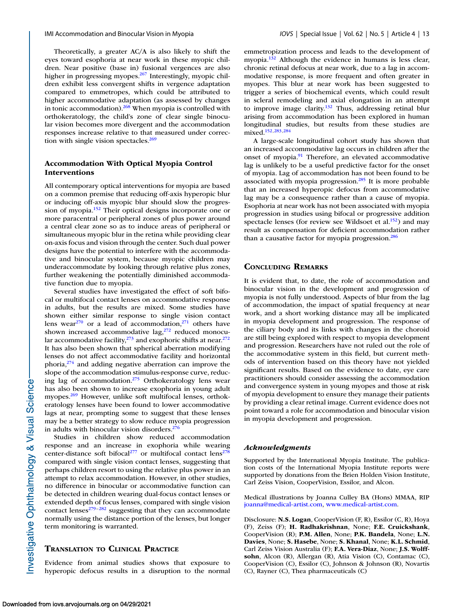Theoretically, a greater AC/A is also likely to shift the eyes toward esophoria at near work in these myopic children. Near positive (base in) fusional vergences are also higher in progressing myopes.<sup>267</sup> Interestingly, myopic children exhibit less convergent shifts in vergence adaptation compared to emmetropes, which could be attributed to higher accommodative adaptation (as assessed by changes in tonic accommodation). $\frac{268}{8}$  When myopia is controlled with orthokeratology, the child's zone of clear single binocular vision becomes more divergent and the accommodation responses increase relative to that measured under correction with single vision spectacles. $269$ 

## **Accommodation With Optical Myopia Control Interventions**

All contemporary optical interventions for myopia are based on a common premise that reducing off-axis hyperopic blur or inducing off-axis myopic blur should slow the progression of myopia[.152](#page-16-0) Their optical designs incorporate one or more paracentral or peripheral zones of plus power around a central clear zone so as to induce areas of peripheral or simultaneous myopic blur in the retina while providing clear on-axis focus and vision through the center. Such dual power designs have the potential to interfere with the accommodative and binocular system, because myopic children may underaccommodate by looking through relative plus zones, further weakening the potentially diminished accommodative function due to myopia.

Several studies have investigated the effect of soft bifocal or multifocal contact lenses on accommodative response in adults, but the results are mixed. Some studies have shown either similar response to single vision contact lens wear $270$  or a lead of accommodation, $271$  others have shown increased accommodative lag, $272$  reduced monocular accommodative facility, $273$  and exophoric shifts at near. $272$ It has also been shown that spherical aberration modifying lenses do not affect accommodative facility and horizontal phoria, $274$  and adding negative aberration can improve the slope of the accommodation stimulus-response curve, reducing lag of accommodation. $275$  Orthokeratology lens wear has also been shown to increase exophoria in young adult myopes.<sup>269</sup> However, unlike soft multifocal lenses, orthokeratology lenses have been found to lower accommodative lags at near, prompting some to suggest that these lenses may be a better strategy to slow reduce myopia progression in adults with binocular vision disorders.<sup>276</sup>

Studies in children show reduced accommodation response and an increase in exophoria while wearing center-distance soft bifocal<sup>277</sup> or multifocal contact lens<sup>278</sup> compared with single vision contact lenses, suggesting that perhaps children resort to using the relative plus power in an attempt to relax accommodation. However, in other studies, no difference in binocular or accommodative function can be detected in children wearing dual-focus contact lenses or extended depth of focus lenses, compared with single vision contact lenses<sup>279-282</sup> suggesting that they can accommodate normally using the distance portion of the lenses, but longer term monitoring is warranted.

# **TRANSLATION TO CLINICAL PRACTICE**

Evidence from animal studies shows that exposure to hyperopic defocus results in a disruption to the normal emmetropization process and leads to the development of myopia.<sup>132</sup> Although the evidence in humans is less clear, chronic retinal defocus at near work, due to a lag in accommodative response, is more frequent and often greater in myopes. This blur at near work has been suggested to trigger a series of biochemical events, which could result in scleral remodeling and axial elongation in an attempt to improve image clarity.<sup>132</sup> Thus, addressing retinal blur arising from accommodation has been explored in human longitudinal studies, but results from these studies are mixed[.152](#page-16-0)[,283,284](#page-19-0)

A large-scale longitudinal cohort study has shown that an increased accommodative lag occurs in children after the onset of myopia.<sup>91</sup> Therefore, an elevated accommodative lag is unlikely to be a useful predictive factor for the onset of myopia. Lag of accommodation has not been found to be associated with myopia progression. $285$  It is more probable that an increased hyperopic defocus from accommodative lag may be a consequence rather than a cause of myopia. Esophoria at near work has not been associated with myopia progression in studies using bifocal or progressive addition spectacle lenses (for review see Wildsoet et al.<sup>152</sup>) and may result as compensation for deficient accommodation rather than a causative factor for myopia progression.<sup>286</sup>

## **CONCLUDING REMARKS**

It is evident that, to date, the role of accommodation and binocular vision in the development and progression of myopia is not fully understood. Aspects of blur from the lag of accommodation, the impact of spatial frequency at near work, and a short working distance may all be implicated in myopia development and progression. The response of the ciliary body and its links with changes in the choroid are still being explored with respect to myopia development and progression. Researchers have not ruled out the role of the accommodative system in this field, but current methods of intervention based on this theory have not yielded significant results. Based on the evidence to date, eye care practitioners should consider assessing the accommodation and convergence system in young myopes and those at risk of myopia development to ensure they manage their patients by providing a clear retinal image. Current evidence does not point toward a role for accommodation and binocular vision in myopia development and progression.

## *Acknowledgments*

Supported by the International Myopia Institute. The publication costs of the International Myopia Institute reports were supported by donations from the Brien Holden Vision Institute, Carl Zeiss Vision, CooperVision, Essilor, and Alcon.

Medical illustrations by Joanna Culley BA (Hons) MMAA, RIP [joanna@medical-artist.com,](joanna@medical-artist.com) [www.medical-artist.com.](http://www.medical-artist.com)

Disclosure: **N.S. Logan**, CooperVision (F, R), Essilor (C, R), Hoya (F), Zeiss (F); **H. Radhakrishnan**, None; **F.E. Cruickshank**, CooperVision (R); **P.M. Allen**, None; **P.K. Bandela**, None; **L.N. Davies**, None; **S. Hasebe**, None; **S. Khanal**, None; **K.L. Schmid**, Carl Zeiss Vision Australia (F); **F.A. Vera-Diaz**, None; **J.S. Wolffsohn**, Alcon (R), Allergan (R), Atia Vision (C), Contamac (C), CooperVision (C), Essilor (C), Johnson & Johnson (R), Novartis (C), Rayner (C), Thea pharmaceuticals (C)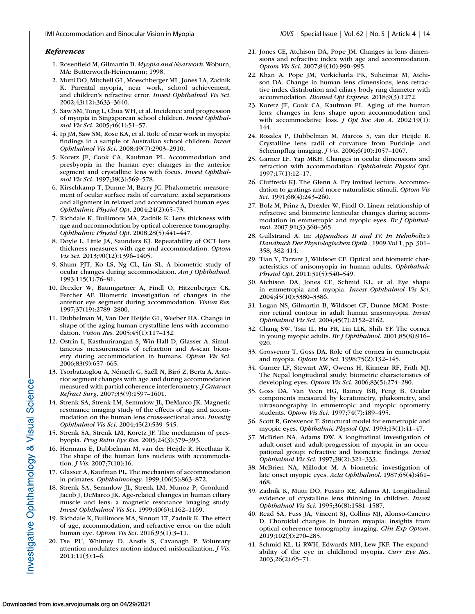#### <span id="page-13-0"></span>*References*

- 1. Rosenfield M, Gilmartin B. *Myopia and Nearwork*. Woburn, MA: Butterworth-Heinemann; 1998.
- 2. Mutti DO, Mitchell GL, Moeschberger ML, Jones LA, Zadnik K. Parental myopia, near work, school achievement, and children's refractive error. *Invest Ophthalmol Vis Sci*. 2002;43(12):3633–3640.
- 3. Saw SM, Tong L, Chua WH, et al. Incidence and progression of myopia in Singaporean school children. *Invest Ophthalmol Vis Sci*. 2005;46(1):51–57.
- 4. Ip JM, Saw SM, Rose KA, et al. Role of near work in myopia: findings in a sample of Australian school children. *Invest Ophthalmol Vis Sci*. 2008;49(7):2903–2910.
- 5. Koretz JF, Cook CA, Kaufman PL. Accommodation and presbyopia in the human eye: changes in the anterior segment and crystalline lens with focus. *Invest Ophthalmol Vis Sci*. 1997;38(3):569–578.
- 6. Kirschkamp T, Dunne M, Barry JC. Phakometric measurement of ocular surface radii of curvature, axial separations and alignment in relaxed and accommodated human eyes. *Ophthalmic Physiol Opt*. 2004;24(2):65–73.
- 7. Richdale K, Bullimore MA, Zadnik K. Lens thickness with age and accommodation by optical coherence tomography. *Ophthalmic Physiol Opt*. 2008;28(5):441–447.
- 8. Doyle L, Little JA, Saunders KJ. Repeatability of OCT lens thickness measures with age and accommodation. *Optom Vis Sci*. 2013;90(12):1396–1405.
- 9. Shum PJT, Ko LS, Ng CL, Lin SL. A biometric study of ocular changes during accommodation. *Am J Ophthalmol*. 1993;115(1):76–81.
- 10. Drexler W, Baumgartner A, Findl O, Hitzenberger CK, Fercher AF. Biometric investigation of changes in the anterior eye segment during accommodation. *Vision Res*. 1997;37(19):2789–2800.
- 11. Dubbelman M, Van Der Heijde GL, Weeber HA. Change in shape of the aging human crystalline lens with accommodation. *Vision Res*. 2005;45(1):117–132.
- 12. Ostrin L, Kasthurirangan S, Win-Hall D, Glasser A. Simultaneous measurements of refraction and A-scan biometry during accommodation in humans. *Optom Vis Sci*. 2006;83(9):657–665.
- 13. Tsorbatzoglou A, Németh G, Széll N, Biró Z, Berta A. Anterior segment changes with age and during accommodation measured with partial coherence interferometry. *J Cataract Refract Surg*. 2007;33(9):1597–1601.
- 14. Strenk SA, Strenk LM, Semmlow JL, DeMarco JK. Magnetic resonance imaging study of the effects of age and accommodation on the human lens cross-sectional area. *Investig Ophthalmol Vis Sci*. 2004;45(2):539–545.
- 15. Strenk SA, Strenk LM, Koretz JF. The mechanism of presbyopia. *Prog Retin Eye Res*. 2005;24(3):379–393.
- 16. Hermans E, Dubbelman M, van der Heijde R, Heethaar R. The shape of the human lens nucleus with accommodation. *J Vis*. 2007;7(10):16.
- 17. Glasser A, Kaufman PL. The mechanism of accommodation in primates. *Ophthalmology*. 1999;106(5):863–872.
- 18. Strenk SA, Semmlow JL, Strenk LM, Munoz P, Gronlund-Jacob J, DeMarco JK. Age-related changes in human ciliary muscle and lens: a magnetic resonance imaging study. *Invest Ophthalmol Vis Sci*. 1999;40(6):1162–1169.
- 19. Richdale K, Bullimore MA, Sinnott LT, Zadnik K. The effect of age, accommodation, and refractive error on the adult human eye. *Optom Vis Sci*. 2016;93(1):3–11.
- 20. Tse PU, Whitney D, Anstis S, Cavanagh P. Voluntary attention modulates motion-induced mislocalization. *J Vis*. 2011;11(3):1–6.
- 21. Jones CE, Atchison DA, Pope JM. Changes in lens dimensions and refractive index with age and accommodation. *Optom Vis Sci*. 2007;84(10):990–995.
- 22. Khan A, Pope JM, Verkicharla PK, Suheimat M, Atchison DA. Change in human lens dimensions, lens refractive index distribution and ciliary body ring diameter with accommodation. *Biomed Opt Express*. 2018;9(3):1272.
- 23. Koretz JF, Cook CA, Kaufman PL. Aging of the human lens: changes in lens shape upon accommodation and with accommodative loss. *J Opt Soc Am A*. 2002;19(1): 144.
- 24. Rosales P, Dubbelman M, Marcos S, van der Heijde R. Crystalline lens radii of curvature from Purkinje and Scheimpflug imaging. *J Vis*. 2006;6(10):1057–1067.
- 25. Garner LF, Yap MKH. Changes in ocular dimensions and refraction with accommodation. *Ophthalmic Physiol Opt*. 1997;17(1):12–17.
- 26. Ciuffreda KJ. The Glenn A. Fry invited lecture. Accommodation to gratings and more naturalistic stimuli. *Optom Vis Sci*. 1991;68(4):243–260.
- 27. Bolz M, Prinz A, Drexler W, Findl O. Linear relationship of refractive and biometric lenticular changes during accommodation in emmetropic and myopic eyes. *Br J Ophthalmol*. 2007;91(3):360–365.
- 28. Gullstrand A. In: *Appendices II and IV. In Helmholtz's Handbuch Der Physiologischen Optik*.; 1909:Vol 1, pp. 301– 358, 382-414.
- 29. Tian Y, Tarrant J, Wildsoet CF. Optical and biometric characteristics of anisomyopia in human adults. *Ophthalmic Physiol Opt*. 2011;31(5):540–549.
- 30. Atchison DA, Jones CE, Schmid KL, et al. Eye shape in emmetropia and myopia. *Invest Ophthalmol Vis Sci*. 2004;45(10):3380–3386.
- 31. Logan NS, Gilmartin B, Wildsoet CF, Dunne MCM. Posterior retinal contour in adult human anisomyopia. *Invest Ophthalmol Vis Sci*. 2004;45(7):2152–2162.
- 32. Chang SW, Tsai IL, Hu FR, Lin LLK, Shih YF. The cornea in young myopic adults. *Br J Ophthalmol*. 2001;85(8):916– 920.
- 33. Grosvenor T, Goss DA. Role of the cornea in emmetropia and myopia. *Optom Vis Sci*. 1998;75(2):132–145.
- 34. Garner LF, Stewart AW, Owens H, Kinnear RF, Frith MJ. The Nepal longitudinal study: biometric characteristics of developing eyes. *Optom Vis Sci*. 2006;83(5):274–280.
- 35. Goss DA, Van Veen HG, Rainey BB, Feng B. Ocular components measured by keratometry, phakometry, and ultrasonography in emmetropic and myopic optometry students. *Optom Vis Sci*. 1997;74(7):489–495.
- 36. Scott R, Grosvenor T. Structural model for emmetropic and myopic eyes. *Ophthalmic Physiol Opt*. 1993;13(1):41–47.
- 37. McBrien NA, Adams DW. A longitudinal investigation of adult-onset and adult-progression of myopia in an occupational group: refractive and biometric findings. *Invest Ophthalmol Vis Sci*. 1997;38(2):321–333.
- 38. McBrien NA, Millodot M. A biometric investigation of late onset myopic eyes. *Acta Ophthalmol*. 1987;65(4):461– 468.
- 39. Zadnik K, Mutti DO, Fusaro RE, Adams AJ. Longitudinal evidence of crystalline lens thinning in children. *Invest Ophthalmol Vis Sci*. 1995;36(8):1581–1587.
- 40. Read SA, Fuss JA, Vincent SJ, Collins MJ, Alonso-Caneiro D. Choroidal changes in human myopia: insights from optical coherence tomography imaging. *Clin Exp Optom*. 2019;102(3):270–285.
- 41. Schmid KL, Li RWH, Edwards MH, Lew JKF. The expandability of the eye in childhood myopia. *Curr Eye Res*. 2003;26(2):65–71.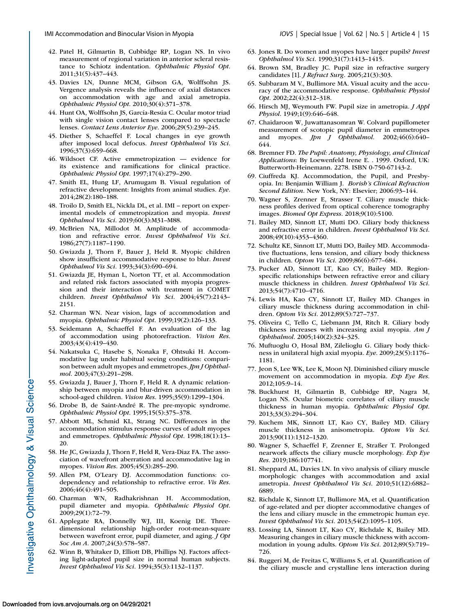- <span id="page-14-0"></span>42. Patel H, Gilmartin B, Cubbidge RP, Logan NS. In vivo measurement of regional variation in anterior scleral resistance to Schiotz indentation. *Ophthalmic Physiol Opt*. 2011;31(5):437–443.
- 43. Davies LN, Dunne MCM, Gibson GA, Wolffsohn JS. Vergence analysis reveals the influence of axial distances on accommodation with age and axial ametropia. *Ophthalmic Physiol Opt*. 2010;30(4):371–378.
- 44. Hunt OA, Wolffsohn JS, García-Resúa C. Ocular motor triad with single vision contact lenses compared to spectacle lenses. *Contact Lens Anterior Eye*. 2006;29(5):239–245.
- 45. Diether S, Schaeffel F. Local changes in eye growth after imposed local defocus. *Invest Ophthalmol Vis Sci*. 1996;37(3):659–668.
- 46. Wildsoet CF. Active emmetropization evidence for its existence and ramifications for clinical practice. *Ophthalmic Physiol Opt*. 1997;17(4):279–290.
- 47. Smith EL, Hung LF, Arumugam B. Visual regulation of refractive development: Insights from animal studies. *Eye*. 2014;28(2):180–188.
- 48. Troilo D, Smith EL, Nickla DL, et al. IMI report on experimental models of emmetropization and myopia. *Invest Ophthalmol Vis Sci*. 2019;60(3):M31–M88.
- 49. McBrien NA, Millodot M. Amplitude of accommodation and refractive error. *Invest Ophthalmol Vis Sci*. 1986;27(7):1187–1190.
- 50. Gwiazda J, Thorn F, Bauer J, Held R. Myopic children show insufficient accommodative response to blur. *Invest Ophthalmol Vis Sci*. 1993;34(3):690–694.
- 51. Gwiazda JE, Hyman L, Norton TT, et al. Accommodation and related risk factors associated with myopia progression and their interaction with treatment in COMET children. *Invest Ophthalmol Vis Sci*. 2004;45(7):2143– 2151.
- 52. Charman WN. Near vision, lags of accommodation and myopia. *Ophthalmic Physiol Opt*. 1999;19(2):126–133.
- 53. Seidemann A, Schaeffel F. An evaluation of the lag of accommodation using photorefraction. *Vision Res*. 2003;43(4):419–430.
- 54. Nakatsuka C, Hasebe S, Nonaka F, Ohtsuki H. Accommodative lag under habitual seeing conditions: comparison between adult myopes and emmetropes. *Jpn J Ophthalmol*. 2003;47(3):291–298.
- 55. Gwiazda J, Bauer J, Thorn F, Held R. A dynamic relationship between myopia and blur-driven accommodation in school-aged children. *Vision Res*. 1995;35(9):1299–1304.
- 56. Drobe B, de Saint-André R. The pre-myopic syndrome. *Ophthalmic Physiol Opt*. 1995;15(5):375–378.
- 57. Abbott ML, Schmid KL, Strang NC. Differences in the accommodation stimulus response curves of adult myopes and emmetropes. *Ophthalmic Physiol Opt*. 1998;18(1):13– 20.
- 58. He JC, Gwiazda J, Thorn F, Held R, Vera-Diaz FA. The association of wavefront aberration and accommodative lag in myopes. *Vision Res*. 2005;45(3):285–290.
- 59. Allen PM, O'Leary DJ. Accommodation functions: codependency and relationship to refractive error. *Vis Res*. 2006;46(4):491–505.
- 60. Charman WN, Radhakrishnan H. Accommodation, pupil diameter and myopia. *Ophthalmic Physiol Opt*. 2009;29(1):72–79.
- 61. Applegate RA, Donnelly WJ, III, Koenig DE. Threedimensional relationship high-order root-mean-square between wavefront error, pupil diameter, and aging. *J Opt Soc Am A*. 2007;24(3):578–587.
- 62. Winn B, Whitaker D, Elliott DB, Phillips NJ. Factors affecting light-adapted pupil size in normal human subjects. *Invest Ophthalmol Vis Sci*. 1994;35(3):1132–1137.
- 63. Jones R. Do women and myopes have larger pupils? *Invest Ophthalmol Vis Sci*. 1990;31(7):1413–1415.
- 64. Brown SM, Bradley JC. Pupil size in refractive surgery candidates [1]. *J Refract Surg*. 2005;21(3):303.
- 65. Subbaram M V., Bullimore MA. Visual acuity and the accuracy of the accommodative response. *Ophthalmic Physiol Opt*. 2002;22(4):312–318.
- 66. Hirsch MJ, Weymouth FW. Pupil size in ametropia. *J Appl Physiol*. 1949;1(9):646–648.
- 67. Chaidaroon W, Juwattanasomran W. Colvard pupillometer measurement of scotopic pupil diameter in emmetropes and myopes. *Jpn J Ophthalmol*. 2002;46(6):640– 644.
- 68. Bremner FD. *The Pupil: Anatomy, Physiology, and Clinical Applications*: By Loewenfeld Irene E. . 1999. Oxford, UK: Butterworth-Heinemann. 2278. ISBN 0-750-67143-2.
- 69. Ciuffreda KJ. Accommodation, the Pupil, and Presbyopia. In: Benjamin William J. *Borish's Clinical Refraction Second Edition*. New York, NY: Elsevier; 2006:93–144.
- 70. Wagner S, Zrenner E, Strasser T. Ciliary muscle thickness profiles derived from optical coherence tomography images. *Biomed Opt Express*. 2018;9(10):5100.
- 71. Bailey MD, Sinnott LT, Mutti DO. Ciliary body thickness and refractive error in children. *Invest Ophthalmol Vis Sci*. 2008;49(10):4353–4360.
- 72. Schultz KE, Sinnott LT, Mutti DO, Bailey MD. Accommodative fluctuations, lens tension, and ciliary body thickness in children. *Optom Vis Sci*. 2009;86(6):677–684.
- 73. Pucker AD, Sinnott LT, Kao CY, Bailey MD. Regionspecific relationships between refractive error and ciliary muscle thickness in children. *Invest Ophthalmol Vis Sci*. 2013;54(7):4710–4716.
- 74. Lewis HA, Kao CY, Sinnott LT, Bailey MD. Changes in ciliary muscle thickness during accommodation in children. *Optom Vis Sci*. 2012;89(5):727–737.
- 75. Oliveira C, Tello C, Liebmann JM, Ritch R. Ciliary body thickness increases with increasing axial myopia. *Am J Ophthalmol*. 2005;140(2):324–325.
- 76. Muftuoglu O, Hosal BM, Zilelioglu G. Ciliary body thickness in unilateral high axial myopia. *Eye*. 2009;23(5):1176– 1181.
- 77. Jeon S, Lee WK, Lee K, Moon NJ. Diminished ciliary muscle movement on accommodation in myopia. *Exp Eye Res*. 2012;105:9–14.
- 78. Buckhurst H, Gilmartin B, Cubbidge RP, Nagra M, Logan NS. Ocular biometric correlates of ciliary muscle thickness in human myopia. *Ophthalmic Physiol Opt*. 2013;33(3):294–304.
- 79. Kuchem MK, Sinnott LT, Kao CY, Bailey MD. Ciliary muscle thickness in anisometropia. *Optom Vis Sci*. 2013;90(11):1312–1320.
- 80. Wagner S, Schaeffel F, Zrenner E, Straßer T. Prolonged nearwork affects the ciliary muscle morphology. *Exp Eye Res*. 2019;186:107741.
- 81. Sheppard AL, Davies LN. In vivo analysis of ciliary muscle morphologic changes with accommodation and axial ametropia. *Invest Ophthalmol Vis Sci*. 2010;51(12):6882– 6889.
- 82. Richdale K, Sinnott LT, Bullimore MA, et al. Quantification of age-related and per diopter accommodative changes of the lens and ciliary muscle in the emmetropic human eye. *Invest Ophthalmol Vis Sci*. 2013;54(2):1095–1105.
- 83. Lossing LA, Sinnott LT, Kao CY, Richdale K, Bailey MD. Measuring changes in ciliary muscle thickness with accommodation in young adults. *Optom Vis Sci*. 2012;89(5):719– 726.
- 84. Ruggeri M, de Freitas C, Williams S, et al. Quantification of the ciliary muscle and crystalline lens interaction during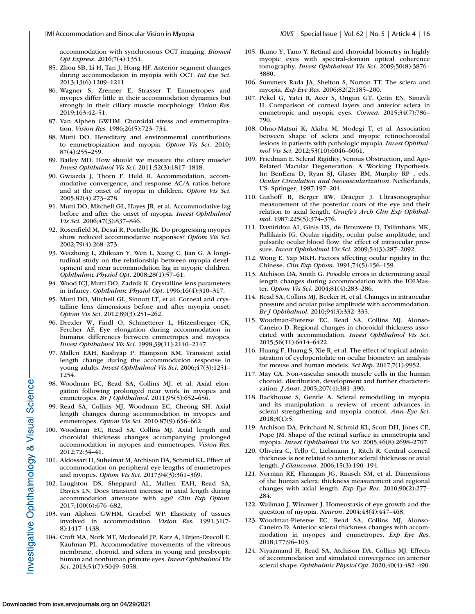<span id="page-15-0"></span>accommodation with synchronous OCT imaging. *Biomed Opt Express*. 2016;7(4):1351.

- 85. Zhou SB, Li H, Tan J, Hong HF. Anterior segment changes during accommodation in myopia with OCT. *Int Eye Sci*. 2013;13(6):1209–1211.
- 86. Wagner S, Zrenner E, Strasser T. Emmetropes and myopes differ little in their accommodation dynamics but strongly in their ciliary muscle morphology. *Vision Res*. 2019;163:42–51.
- 87. Van Alphen GWHM. Choroidal stress and emmetropization. *Vision Res*. 1986;26(5):723–734.
- 88. Mutti DO. Hereditary and environmental contributions to emmetropization and myopia. *Optom Vis Sci*. 2010; 87(4):255–259.
- 89. Bailey MD. How should we measure the ciliary muscle? *Invest Ophthalmol Vis Sci*. 2011;52(3):1817–1818.
- 90. Gwiazda J, Thorn F, Held R. Accommodation, accommodative convergence, and response AC/A ratios before and at the onset of myopia in children. *Optom Vis Sci*. 2005;82(4):273–278.
- 91. Mutti DO, Mitchell GL, Hayes JR, et al. Accommodative lag before and after the onset of myopia. *Invest Ophthalmol Vis Sci*. 2006;47(3):837–846.
- 92. Rosenfield M, Desai R, Portello JK. Do progressing myopes show reduced accommodative responses? *Optom Vis Sci*. 2002;79(4):268–273.
- 93. Weizhong L, Zhikuan Y, Wen L, Xiang C, Jian G. A longitudinal study on the relationship between myopia development and near accommodation lag in myopic children. *Ophthalmic Physiol Opt*. 2008;28(1):57–61.
- 94. Wood ICJ, Mutti DO, Zadnik K. Crystalline lens parameters in infancy. *Ophthalmic Physiol Opt*. 1996;16(4):310–317.
- 95. Mutti DO, Mitchell GL, Sinnott LT, et al. Corneal and crystalline lens dimensions before and after myopia onset. *Optom Vis Sci*. 2012;89(3):251–262.
- 96. Drexler W, Findl O, Schmetterer L, Hitzenberger CK, Fercher AF. Eye elongation during accommodation in humans: differences between emmetropes and myopes. *Invest Ophthalmol Vis Sci*. 1998;39(11):2140–2147.
- 97. Mallen EAH, Kashyap P, Hampson KM. Transient axial length change during the accommodation response in young adults. *Invest Ophthalmol Vis Sci*. 2006;47(3):1251– 1254.
- 98. Woodman EC, Read SA, Collins MJ, et al. Axial elongation following prolonged near work in myopes and emmetropes. *Br J Ophthalmol*. 2011;95(5):652–656.
- 99. Read SA, Collins MJ, Woodman EC, Cheong SH. Axial length changes during accommodation in myopes and emmetropes. *Optom Vis Sci*. 2010;87(9):656–662.
- 100. Woodman EC, Read SA, Collins MJ. Axial length and choroidal thickness changes accompanying prolonged accommodation in myopes and emmetropes. *Vision Res*. 2012;72:34–41.
- 101. Aldossari H, Suheimat M, Atchison DA, Schmid KL. Effect of accommodation on peripheral eye lengths of emmetropes and myopes. *Optom Vis Sci*. 2017;94(3):361–369.
- 102. Laughton DS, Sheppard AL, Mallen EAH, Read SA, Davies LN. Does transient increase in axial length during accommodation attenuate with age? *Clin Exp Optom*. 2017;100(6):676–682.
- 103. van Alphen GWHM, Graebel WP. Elasticity of tissues involved in accommodation. *Vision Res*. 1991;31(7- 8):1417–1438.
- 104. Croft MA, Nork MT, Mcdonald JP, Katz A, Lütjen-Drecoll E, Kaufman PL. Accommodative movements of the vitreous membrane, choroid, and sclera in young and presbyopic human and nonhuman primate eyes. *Invest Ophthalmol Vis Sci*. 2013;54(7):5049–5058.
- 105. Ikuno Y, Tano Y. Retinal and choroidal biometry in highly myopic eyes with spectral-domain optical coherence tomography. *Invest Ophthalmol Vis Sci*. 2009;50(8):3876– 3880.
- 106. Summers Rada JA, Shelton S, Norton TT. The sclera and myopia. *Exp Eye Res*. 2006;82(2):185–200.
- 107. Pekel G, Yaʇci R, Acer S, Ongun GT, Çetin EN, Simavli H. Comparison of corneal layers and anterior sclera in emmetropic and myopic eyes. *Cornea*. 2015;34(7):786– 790.
- 108. Ohno-Matsui K, Akiba M, Modegi T, et al. Association between shape of sclera and myopic retinochoroidal lesions in patients with pathologic myopia. *Invest Ophthalmol Vis Sci*. 2012;53(10):6046–6061.
- 109. Friedman E. Scleral Rigidity, Venous Obstruction, and Age-Related Macular Degeneration: A Working Hypothesis. In: BenEzra D, Ryan SJ, Glaser BM, Murphy RP , eds. *Ocular Circulation and Neovascularization*. Netherlands, US: Springer; 1987:197–204.
- 110. Guthoff R, Berger RW, Draeger J. Ultrasonographic measurement of the posterior coats of the eye and their relation to axial length. *Graefe's Arch Clin Exp Ophthalmol*. 1987;225(5):374–376.
- 111. Dastiridou AI, Ginis HS, de Brouwere D, Tsilimbaris MK, Pallikaris IG. Ocular rigidity, ocular pulse amplitude, and pulsatile ocular blood flow: the effect of intraocular pressure. *Invest Ophthalmol Vis Sci*. 2009;54(3):287–2092.
- 112. Wong E, Yap MKH. Factors affecting ocular rigidity in the Chinese. *Clin Exp Optom*. 1991;74(5):156–159.
- 113. Atchison DA, Smith G. Possible errors in determining axial length changes during accommodation with the IOLMaster. *Optom Vis Sci*. 2004;81(4):283–286.
- 114. Read SA, Collins MJ, Becker H, et al. Changes in intraocular pressure and ocular pulse amplitude with accommodation. *Br J Ophthalmol*. 2010;94(3):332–335.
- 115. Woodman-Pieterse EC, Read SA, Collins MJ, Alonso-Caneiro D. Regional changes in choroidal thickness associated with accommodation. *Invest Ophthalmol Vis Sci*. 2015;56(11):6414–6422.
- 116. Huang F, Huang S, Xie R, et al. The effect of topical administration of cyclopentolate on ocular biometry: an analysis for mouse and human models. *Sci Rep*. 2017;7(1):9952.
- 117. May CA. Non-vascular smooth muscle cells in the human choroid: distribution, development and further characterization. *J Anat*. 2005;207(4):381–390.
- 118. Backhouse S, Gentle A. Scleral remodelling in myopia and its manipulation: a review of recent advances in scleral strengthening and myopia control. *Ann Eye Sci*. 2018;3(1):5.
- 119. Atchison DA, Pritchard N, Schmid KL, Scott DH, Jones CE, Pope JM. Shape of the retinal surface in emmetropia and myopia. *Invest Ophthalmol Vis Sci*. 2005;46(8):2698–2707.
- 120. Oliveira C, Tello C, Liebmann J, Ritch R. Central corneal thickness is not related to anterior scleral thickness or axial length. *J Glaucoma*. 2006;15(3):190–194.
- 121. Norman RE, Flanagan JG, Rausch SM, et al. Dimensions of the human sclera: thickness measurement and regional changes with axial length. *Exp Eye Res*. 2010;90(2):277– 284.
- 122. Wallman J, Winawer J. Homeostasis of eye growth and the question of myopia. *Neuron*. 2004;43(4):447–468.
- 123. Woodman-Pieterse EC, Read SA, Collins MJ, Alonso-Caneiro D. Anterior scleral thickness changes with accommodation in myopes and emmetropes. *Exp Eye Res*. 2018;177:96–103.
- 124. Niyazmand H, Read SA, Atchison DA, Collins MJ. Effects of accommodation and simulated convergence on anterior scleral shape. *Ophthalmic Physiol Opt*. 2020;40(4):482–490.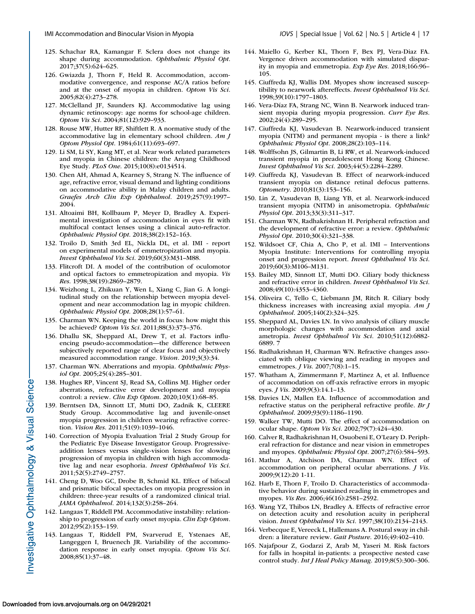- <span id="page-16-0"></span>125. Schachar RA, Kamangar F. Sclera does not change its shape during accommodation. *Ophthalmic Physiol Opt*. 2017;37(5):624–625.
- 126. Gwiazda J, Thorn F, Held R. Accommodation, accommodative convergence, and response AC/A ratios before and at the onset of myopia in children. *Optom Vis Sci*. 2005;82(4):273–278.
- 127. McClelland JF, Saunders KJ. Accommodative lag using dynamic retinoscopy: age norms for school-age children. *Optom Vis Sci*. 2004;81(12):929–933.
- 128. Rouse MW, Hutter RF, Shiftlett R. A normative study of the accommodative lag in elementary school children. *Am J Optom Physiol Opt*. 1984;61(11):693–697.
- 129. Li SM, Li SY, Kang MT, et al. Near work related parameters and myopia in Chinese children: the Anyang Childhood Eye Study. *PLoS One*. 2015;10(8):e0134514.
- 130. Chen AH, Ahmad A, Kearney S, Strang N. The influence of age, refractive error, visual demand and lighting conditions on accommodative ability in Malay children and adults. *Graefes Arch Clin Exp Ophthalmol*. 2019;257(9):1997– 2004.
- 131. Altoaimi BH, Kollbaum P, Meyer D, Bradley A. Experimental investigation of accommodation in eyes fit with multifocal contact lenses using a clinical auto-refractor. *Ophthalmic Physiol Opt*. 2018;38(2):152–163.
- 132. Troilo D, Smith 3rd EL, Nickla DL, et al. IMI report on experimental models of emmetropization and myopia. *Invest Ophthalmol Vis Sci*. 2019;60(3):M31–M88.
- 133. Flitcroft DI. A model of the contribution of oculomotor and optical factors to emmetropization and myopia. *Vis Res*. 1998;38(19):2869–2879.
- 134. Weizhong L, Zhikuan Y, Wen L, Xiang C, Jian G. A longitudinal study on the relationship between myopia development and near accommodation lag in myopic children. *Ophthalmic Physiol Opt*. 2008;28(1):57–61.
- 135. Charman WN. Keeping the world in focus: how might this be achieved? *Optom Vis Sci*. 2011;88(3):373–376.
- 136. Dhallu SK, Sheppard AL, Drew T, et al. Factors influencing pseudo-accommodation—the difference between subjectively reported range of clear focus and objectively measured accommodation range. *Vision*. 2019;3(3):34.
- 137. Charman WN. Aberrations and myopia. *Ophthalmic Physiol Opt*. 2005;25(4):285–301.
- 138. Hughes RP, Vincent SJ, Read SA, Collins MJ. Higher order aberrations, refractive error development and myopia control: a review. *Clin Exp Optom*. 2020;103(1):68–85.
- 139. Berntsen DA, Sinnott LT, Mutti DO, Zadnik K, CLEERE Study Group. Accommodative lag and juvenile-onset myopia progression in children wearing refractive correction. *Vision Res*. 2011;51(9):1039–1046.
- 140. Correction of Myopia Evaluation Trial 2 Study Group for the Pediatric Eye Disease Investigator Group. Progressiveaddition lenses versus single-vision lenses for slowing progression of myopia in children with high accommodative lag and near esophoria. *Invest Ophthalmol Vis Sci*. 2011;52(5):2749–2757.
- 141. Cheng D, Woo GC, Drobe B, Schmid KL. Effect of bifocal and prismatic bifocal spectacles on myopia progression in children: three-year results of a randomized clinical trial. *JAMA Ophthalmol*. 2014;132(3):258–264.
- 142. Langaas T, Riddell PM. Accommodative instability: relationship to progression of early onset myopia. *Clin Exp Optom*. 2012;95(2):153–159.
- 143. Langaas T, Riddell PM, Svarverud E, Ystenaes AE, Langeggen I, Bruenech JR. Variability of the accommodation response in early onset myopia. *Optom Vis Sci*. 2008;85(1):37–48.
- 
- 144. Maiello G, Kerber KL, Thorn F, Bex PJ, Vera-Diaz FA. Vergence driven accommodation with simulated disparity in myopia and emmetropia. *Exp Eye Res*. 2018;166:96– 105.
- 145. Ciuffreda KJ, Wallis DM. Myopes show increased susceptibility to nearwork aftereffects. *Invest Ophthalmol Vis Sci*. 1998;39(10):1797–1803.
- 146. Vera-Díaz FA, Strang NC, Winn B. Nearwork induced transient myopia during myopia progression. *Curr Eye Res*. 2002;24(4):289–295.
- 147. Ciuffreda KJ, Vasudevan B. Nearwork-induced transient myopia (NITM) and permanent myopia - is there a link? *Ophthalmic Physiol Opt*. 2008;28(2):103–114.
- 148. Wolffsohn JS, Gilmartin B, Li RW, et al. Nearwork-induced transient myopia in preadolescent Hong Kong Chinese. *Invest Ophthalmol Vis Sci*. 2003;44(5):2284–2289.
- 149. Ciuffreda KJ, Vasudevan B. Effect of nearwork-induced transient myopia on distance retinal defocus patterns. *Optometry*. 2010;81(3):153–156.
- 150. Lin Z, Vasudevan B, Liang YB, et al. Nearwork-induced transient myopia (NITM) in anisometropia. *Ophthalmic Physiol Opt*. 2013;33(3):311–317.
- 151. Charman WN, Radhakrishnan H. Peripheral refraction and the development of refractive error: a review. *Ophthalmic Physiol Opt*. 2010;30(4):321–338.
- 152. Wildsoet CF, Chia A, Cho P, et al. IMI Interventions Myopia Institute: Interventions for controlling myopia onset and progression report. *Invest Ophthalmol Vis Sci*. 2019;60(3):M106–M131.
- 153. Bailey MD, Sinnott LT, Mutti DO. Ciliary body thickness and refractive error in children. *Invest Ophthalmol Vis Sci*. 2008;49(10):4353–4360.
- 154. Oliveira C, Tello C, Liebmann JM, Ritch R. Ciliary body thickness increases with increasing axial myopia. *Am J Ophthalmol*. 2005;140(2):324–325.
- 155. Sheppard AL, Davies LN. In vivo analysis of ciliary muscle morphologic changes with accommodation and axial ametropia. *Invest Ophthalmol Vis Sci*. 2010;51(12):6882- 6889. 7
- 156. Radhakrishnan H, Charman WN. Refractive changes associated with oblique viewing and reading in myopes and emmetropes. *J Vis*. 2007;7(8):1–15.
- 157. Whatham A, Zimmermann F, Martinez A, et al. Influence of accommodation on off-axis refractive errors in myopic eyes. *J Vis*. 2009;9(3):14.1–13.
- 158. Davies LN, Mallen EA. Influence of accommodation and refractive status on the peripheral refractive profile. *Br J Ophthalmol*. 2009;93(9):1186–1190.
- 159. Walker TW, Mutti DO. The effect of accommodation on ocular shape. *Optom Vis Sci*. 2002;79(7):424–430.
- 160. Calver R, Radhakrishnan H, Osuobeni E, O'Leary D. Peripheral refraction for distance and near vision in emmetropes and myopes. *Ophthalmic Physiol Opt*. 2007;27(6):584–593.
- 161. Mathur A, Atchison DA, Charman WN. Effect of accommodation on peripheral ocular aberrations. *J Vis*. 2009;9(12):20 1-11.
- 162. Harb E, Thorn F, Troilo D. Characteristics of accommodative behavior during sustained reading in emmetropes and myopes. *Vis Res*. 2006;46(16):2581–2592.
- 163. Wang YZ, Thibos LN, Bradley A. Effects of refractive error on detection acuity and resolution acuity in peripheral vision. *Invest Ophthalmol Vis Sci*. 1997;38(10):2134–2143.
- 164. Verbecque E, Vereeck L, Hallemans A. Postural sway in children: a literature review. *Gait Posture*. 2016;49:402–410.
- 165. Najafpour Z, Godarzi Z, Arab M, Yaseri M. Risk factors for falls in hospital in-patients: a prospective nested case control study. *Int J Heal Policy Manag*. 2019;8(5):300–306.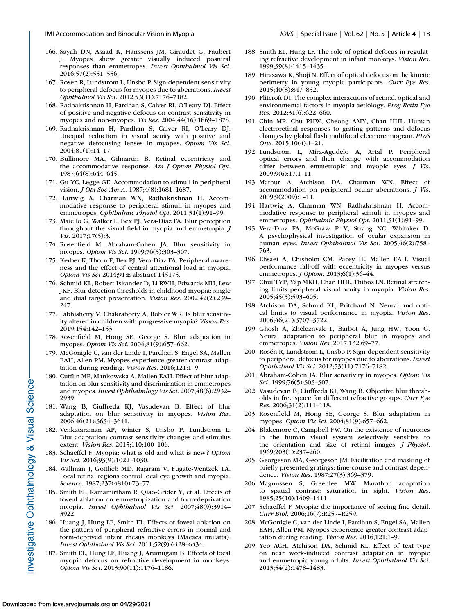- <span id="page-17-0"></span>166. Sayah DN, Asaad K, Hanssens JM, Giraudet G, Faubert J. Myopes show greater visually induced postural responses than emmetropes. *Invest Ophthalmol Vis Sci*. 2016;57(2):551–556.
- 167. Rosen R, Lundstrom L, Unsbo P. Sign-dependent sensitivity to peripheral defocus for myopes due to aberrations. *Invest Ophthalmol Vis Sci*. 2012;53(11):7176–7182.
- 168. Radhakrishnan H, Pardhan S, Calver RI, O'Leary DJ. Effect of positive and negative defocus on contrast sensitivity in myopes and non-myopes. *Vis Res*. 2004;44(16):1869–1878.
- 169. Radhakrishnan H, Pardhan S, Calver RI, O'Leary DJ. Unequal reduction in visual acuity with positive and negative defocusing lenses in myopes. *Optom Vis Sci*. 2004;81(1):14–17.
- 170. Bullimore MA, Gilmartin B. Retinal eccentricity and the accommodative response. *Am J Optom Physiol Opt*. 1987;64(8):644–645.
- 171. Gu YC, Legge GE. Accommodation to stimuli in peripheral vision. *J Opt Soc Am A*. 1987;4(8):1681–1687.
- 172. Hartwig A, Charman WN, Radhakrishnan H. Accommodative response to peripheral stimuli in myopes and emmetropes. *Ophthalmic Physiol Opt*. 2011;31(1):91–99.
- 173. Maiello G, Walker L, Bex PJ, Vera-Diaz FA. Blur perception throughout the visual field in myopia and emmetropia. *J Vis*. 2017;17(5):3.
- 174. Rosenfield M, Abraham-Cohen JA. Blur sensitivity in myopes. *Optom Vis Sci*. 1999;76(5):303–307.
- 175. Kerber K, Thorn F, Bex PJ, Vera-Diaz FA. Peripheral awareness and the effect of central attentional load in myopia. *Optom Vis Sci* 2014;91:E-abstract 145175.
- 176. Schmid KL, Robert Iskander D, Li RWH, Edwards MH, Lew JKF. Blur detection thresholds in childhood myopia: single and dual target presentation. *Vision Res*. 2002;42(2):239– 247.
- 177. Labhishetty V, Chakraborty A, Bobier WR. Is blur sensitivity altered in children with progressive myopia? *Vision Res*. 2019;154:142–153.
- 178. Rosenfield M, Hong SE, George S. Blur adaptation in myopes. *Optom Vis Sci*. 2004;81(9):657–662.
- 179. McGonigle C, van der Linde I, Pardhan S, Engel SA, Mallen EAH, Allen PM. Myopes experience greater contrast adaptation during reading. *Vision Res*. 2016;121:1–9.
- 180. Cufflin MP, Mankowska A, Mallen EAH. Effect of blur adaptation on blur sensitivity and discrimination in emmetropes and myopes. *Invest Ophthalmlogy Vis Sci*. 2007;48(6):2932– 2939.
- 181. Wang B, Ciuffreda KJ, Vasudevan B. Effect of blur adaptation on blur sensitivity in myopes. *Vision Res*. 2006;46(21):3634–3641.
- 182. Venkataraman AP, Winter S, Unsbo P, Lundstrom L. Blur adaptation: contrast sensitivity changes and stimulus extent. *Vision Res*. 2015;110:100–106.
- 183. Schaeffel F. Myopia: what is old and what is new ? *Optom Vis Sci*. 2016;93(9):1022–1030.
- 184. Wallman J, Gottlieb MD, Rajaram V, Fugate-Wentzek LA. Local retinal regions control local eye growth and myopia. *Science*. 1987;237(4810):73–77.
- 185. Smith EL, Ramamirtham R, Qiao-Grider Y, et al. Effects of foveal ablation on emmetropization and form-deprivation myopia. *Invest Ophthalmol Vis Sci*. 2007;48(9):3914– 3922.
- 186. Huang J, Hung LF, Smith EL. Effects of foveal ablation on the pattern of peripheral refractive errors in normal and form-deprived infant rhesus monkeys (Macaca mulatta). *Invest Ophthalmol Vis Sci*. 2011;52(9):6428–6434.
- 187. Smith EL, Hung LF, Huang J, Arumugam B. Effects of local myopic defocus on refractive development in monkeys. *Optom Vis Sci*. 2013;90(11):1176–1186.
- 188. Smith EL, Hung LF. The role of optical defocus in regulating refractive development in infant monkeys. *Vision Res*. 1999;39(8):1415–1435.
- 189. Hirasawa K, Shoji N. Effect of optical defocus on the kinetic perimetry in young myopic participants. *Curr Eye Res*. 2015;40(8):847–852.
- 190. Flitcroft DI. The complex interactions of retinal, optical and environmental factors in myopia aetiology. *Prog Retin Eye Res*. 2012;31(6):622–660.
- 191. Chin MP, Chu PHW, Cheong AMY, Chan HHL. Human electroretinal responses to grating patterns and defocus changes by global flash multifocal electroretinogram. *PLoS One*. 2015;10(4):1–21.
- 192. Lundström L, Mira-Agudelo A, Artal P. Peripheral optical errors and their change with accommodation differ between emmetropic and myopic eyes. *J Vis*. 2009;9(6):17.1–11.
- 193. Mathur A, Atchison DA, Charman WN. Effect of accommodation on peripheral ocular aberrations. *J Vis*. 2009;9(2009):1–11.
- 194. Hartwig A, Charman WN, Radhakrishnan H. Accommodative response to peripheral stimuli in myopes and emmetropes. *Ophthalmic Physiol Opt*. 2011;31(1):91–99.
- 195. Vera-Diaz FA, McGraw P V, Strang NC, Whitaker D. A psychophysical investigation of ocular expansion in human eyes. *Invest Ophthalmol Vis Sci*. 2005;46(2):758– 763.
- 196. Ehsaei A, Chisholm CM, Pacey IE, Mallen EAH. Visual performance fall-off with eccentricity in myopes versus emmetropes. *J Optom*. 2013;6(1):36–44.
- 197. Chui TYP, Yap MKH, Chan HHL, Thibos LN. Retinal stretching limits peripheral visual acuity in myopia. *Vision Res*. 2005;45(5):593–605.
- 198. Atchison DA, Schmid KL, Pritchard N. Neural and optical limits to visual performance in myopia. *Vision Res*. 2006;46(21):3707–3722.
- 199. Ghosh A, Zheleznyak L, Barbot A, Jung HW, Yoon G. Neural adaptation to peripheral blur in myopes and emmetropes. *Vision Res*. 2017;132:69–77.
- 200. Rosén R, Lundström L, Unsbo P. Sign-dependent sensitivity to peripheral defocus for myopes due to aberrations. *Invest Ophthalmol Vis Sci*. 2012;53(11):7176–7182.
- 201. Abraham-Cohen JA. Blur sensitivity in myopes. *Optom Vis Sci*. 1999;76(5):303–307.
- 202. Vasudevan B, Ciuffreda KJ, Wang B. Objective blur thresholds in free space for different refractive groups. *Curr Eye Res*. 2006;31(2):111–118.
- 203. Rosenfield M, Hong SE, George S. Blur adaptation in myopes. *Optom Vis Sci*. 2004;81(9):657–662.
- 204. Blakemore C, Campbell FW. On the existence of neurones in the human visual system selectively sensitive to the orientation and size of retinal images. *J Physiol*. 1969;203(1):237–260.
- 205. Georgeson MA, Georgeson JM. Facilitation and masking of briefly presented gratings: time-course and contrast dependence. *Vision Res*. 1987;27(3):369–379.
- 206. Magnussen S, Greenlee MW. Marathon adaptation to spatial contrast: saturation in sight. *Vision Res*. 1985;25(10):1409–1411.
- 207. Schaeffel F. Myopia: the importance of seeing fine detail. *Curr Biol*. 2006;16(7):R257–R259.
- 208. McGonigle C, van der Linde I, Pardhan S, Engel SA, Mallen EAH, Allen PM. Myopes experience greater contrast adaptation during reading. *Vision Res*. 2016;121:1–9.
- 209. Yeo ACH, Atchison DA, Schmid KL. Effect of text type on near work-induced contrast adaptation in myopic and emmetropic young adults. *Invest Ophthalmol Vis Sci*. 2013;54(2):1478–1483.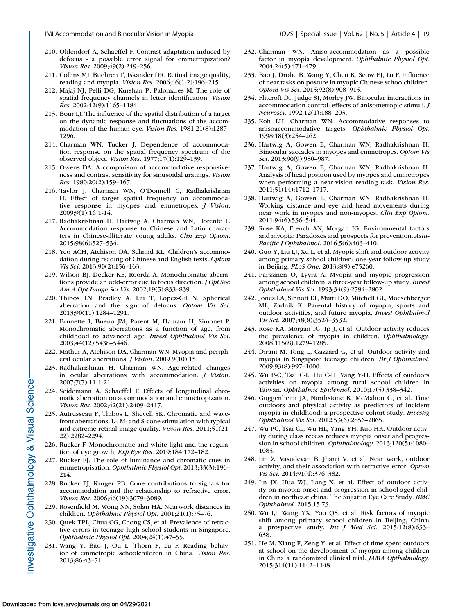- <span id="page-18-0"></span>210. Ohlendorf A, Schaeffel F. Contrast adaptation induced by defocus - a possible error signal for emmetropization? *Vision Res*. 2009;49(2):249–256.
- 211. Collins MJ, Buehren T, Iskander DR. Retinal image quality, reading and myopia. *Vision Res*. 2006;46(1-2):196–215.
- 212. Majaj NJ, Pelli DG, Kurshan P, Palomares M. The role of spatial frequency channels in letter identification. *Vision Res*. 2002;42(9):1165–1184.
- 213. Bour LJ. The influence of the spatial distribution of a target on the dynamic response and fluctuations of the accommodation of the human eye. *Vision Res*. 1981;21(8):1287– 1296.
- 214. Charman WN, Tucker J. Dependence of accommodation response on the spatial frequency spectrum of the observed object. *Vision Res*. 1977;17(1):129–139.
- 215. Owens DA. A comparison of accommodative responsiveness and contrast sensitivity for sinusoidal gratings. *Vision Res*. 1980;20(2):159–167.
- 216. Taylor J, Charman WN, O'Donnell C, Radhakrishnan H. Effect of target spatial frequency on accommodative response in myopes and emmetropes. *J Vision*. 2009;9(1):16 1-14.
- 217. Radhakrishnan H, Hartwig A, Charman WN, Llorente L. Accommodation response to Chinese and Latin characters in Chinese-illiterate young adults. *Clin Exp Optom*. 2015;98(6):527–534.
- 218. Yeo ACH, Atchison DA, Schmid KL. Children's accommodation during reading of Chinese and English texts. *Optom Vis Sci*. 2013;90(2):156–163.
- 219. Wilson BJ, Decker KE, Roorda A. Monochromatic aberrations provide an odd-error cue to focus direction. *J Opt Soc Am A Opt Image Sci Vis*. 2002;19(5):833–839.
- 220. Thibos LN, Bradley A, Liu T, Lopez-Gil N. Spherical aberration and the sign of defocus. *Optom Vis Sci*. 2013;90(11):1284–1291.
- 221. Brunette I, Bueno JM, Parent M, Hamam H, Simonet P. Monochromatic aberrations as a function of age, from childhood to advanced age. *Invest Ophthalmol Vis Sci*. 2003;44(12):5438–5446.
- 222. Mathur A, Atchison DA, Charman WN. Myopia and peripheral ocular aberrations. *J Vision*. 2009;9(10):15.
- 223. Radhakrishnan H, Charman WN. Age-related changes in ocular aberrations with accommodation. *J Vision*. 2007;7(7):11 1-21.
- 224. Seidemann A, Schaeffel F. Effects of longitudinal chromatic aberration on accommodation and emmetropization. *Vision Res*. 2002;42(21):2409–2417.
- 225. Autrusseau F, Thibos L, Shevell SK. Chromatic and wavefront aberrations: L-, M- and S-cone stimulation with typical and extreme retinal image quality. *Vision Res*. 2011;51(21- 22):2282–2294.
- 226. Rucker F. Monochromatic and white light and the regulation of eye growth. *Exp Eye Res*. 2019;184:172–182.
- 227. Rucker FJ. The role of luminance and chromatic cues in emmetropisation. *Ophthalmic Physiol Opt*. 2013;33(3):196– 214.
- 228. Rucker FJ, Kruger PB. Cone contributions to signals for accommodation and the relationship to refractive error. *Vision Res*. 2006;46(19):3079–3089.
- 229. Rosenfield M, Wong NN, Solan HA. Nearwork distances in children. *Ophthalmic Physiol Opt*. 2001;21(1):75–76.
- 230. Quek TPL, Chua CG, Chong CS, et al. Prevalence of refractive errors in teenage high school students in Singapore. *Ophthalmic Physiol Opt*. 2004;24(1):47–55.
- 231. Wang Y, Bao J, Ou L, Thorn F, Lu F. Reading behavior of emmetropic schoolchildren in China. *Vision Res*. 2013;86:43–51.
- 232. Charman WN. Aniso-accommodation as a possible factor in myopia development. *Ophthalmic Physiol Opt*. 2004;24(5):471–479.
- 233. Bao J, Drobe B, Wang Y, Chen K, Seow EJ, Lu F. Influence of near tasks on posture in myopic Chinese schoolchildren. *Optom Vis Sci*. 2015;92(8):908–915.
- 234. Flitcroft DI, Judge SJ, Morley JW. Binocular interactions in accommodation control: effects of anisometropic stimuli. *J Neurosci*. 1992;12(1):188–203.
- 235. Koh LH, Charman WN. Accommodative responses to anisoaccommodative targets. *Ophthalmic Physiol Opt*. 1998;18(3):254–262.
- 236. Hartwig A, Gowen E, Charman WN, Radhakrishnan H. Binocular saccades in myopes and emmetropes. *Optom Vis Sci*. 2013;90(9):980–987.
- 237. Hartwig A, Gowen E, Charman WN, Radhakrishnan H. Analysis of head position used by myopes and emmetropes when performing a near-vision reading task. *Vision Res*. 2011;51(14):1712–1717.
- 238. Hartwig A, Gowen E, Charman WN, Radhakrishnan H. Working distance and eye and head movements during near work in myopes and non-myopes. *Clin Exp Optom*. 2011;94(6):536–544.
- 239. Rose KA, French AN, Morgan IG. Environmental factors and myopia: Paradoxes and prospects for prevention. *Asia-Pacific J Ophthalmol*. 2016;5(6):403–410.
- 240. Guo Y, Liu LJ, Xu L, et al. Myopic shift and outdoor activity among primary school children: one-year follow-up study in Beijing. *PLoS One*. 2013;8(9):e75260.
- 241. Pärssinen O, Lyyra A. Myopia and myopic progression among school children: a three-year follow-up study. *Invest Ophthalmol Vis Sci*. 1993;34(9):2794–2802.
- 242. Jones LA, Sinnott LT, Mutti DO, Mitchell GL, Moeschberger ML, Zadnik K. Parental history of myopia, sports and outdoor activities, and future myopia. *Invest Ophthalmol Vis Sci*. 2007;48(8):3524–3532.
- 243. Rose KA, Morgan IG, Ip J, et al. Outdoor activity reduces the prevalence of myopia in children. *Ophthalmology*. 2008;115(8):1279–1285.
- 244. Dirani M, Tong L, Gazzard G, et al. Outdoor activity and myopia in Singapore teenage children. *Br J Ophthalmol*. 2009;93(8):997–1000.
- 245. Wu P-C, Tsai C-L, Hu C-H, Yang Y-H. Effects of outdoors activities on myopia among rural school children in Taiwan. *Ophthalmic Epidemiol*. 2010;17(5):338–342.
- 246. Guggenheim JA, Northstone K, McMahon G, et al. Time outdoors and physical activity as predictors of incident myopia in childhood: a prospective cohort study. *Investig Ophthalmol Vis Sci*. 2012;53(6):2856–2865.
- 247. Wu PC, Tsai CL, Wu HL, Yang YH, Kuo HK. Outdoor activity during class recess reduces myopia onset and progression in school children. *Ophthalmology*. 2013;120(5):1080– 1085.
- 248. Lin Z, Vasudevan B, Jhanji V, et al. Near work, outdoor activity, and their association with refractive error. *Optom Vis Sci*. 2014;91(4):376–382.
- 249. Jin JX, Hua WJ, Jiang X, et al. Effect of outdoor activity on myopia onset and progression in school-aged children in northeast china: The Sujiatun Eye Care Study. *BMC Ophthalmol*. 2015;15:73.
- 250. Wu LJ, Wang YX, You QS, et al. Risk factors of myopic shift among primary school children in Beijing, China: a prospective study. *Int J Med Sci*. 2015;12(8):633– 638.
- 251. He M, Xiang F, Zeng Y, et al. Effect of time spent outdoors at school on the development of myopia among children in China a randomized clinical trial. *JAMA Opthalmology*. 2015;314(11):1142–1148.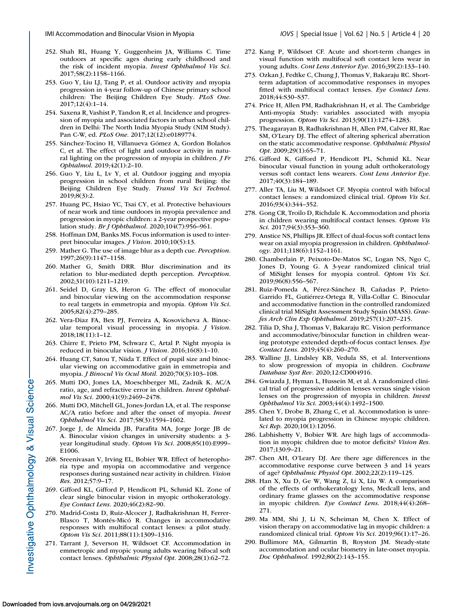- <span id="page-19-0"></span>252. Shah RL, Huang Y, Guggenheim JA, Williams C. Time outdoors at specific ages during early childhood and the risk of incident myopia. *Invest Ophthalmol Vis Sci*. 2017;58(2):1158–1166.
- 253. Guo Y, Liu LJ, Tang P, et al. Outdoor activity and myopia progression in 4-year follow-up of Chinese primary school children: The Beijing Children Eye Study. *PLoS One*. 2017;12(4):1–14.
- 254. Saxena R, Vashist P, Tandon R, et al. Incidence and progression of myopia and associated factors in urban school children in Delhi: The North India Myopia Study (NIM Study). Pan C-W, ed. *PLoS One*. 2017;12(12):e0189774.
- 255. Sánchez-Tocino H, Villanueva Gómez A, Gordon Bolaños C, et al. The effect of light and outdoor activity in natural lighting on the progression of myopia in children. *J Fr Ophtalmol*. 2019;42(1):2–10.
- 256. Guo Y, Liu L, Lv Y, et al. Outdoor jogging and myopia progression in school children from rural Beijing: the Beijing Children Eye Study. *Transl Vis Sci Technol*. 2019;8(3):2.
- 257. Huang PC, Hsiao YC, Tsai CY, et al. Protective behaviours of near work and time outdoors in myopia prevalence and progression in myopic children: a 2-year prospective population study. *Br J Ophthalmol*. 2020;104(7):956–961.
- 258. Hoffman DM, Banks MS. Focus information is used to interpret binocular images. *J Vision*. 2010;10(5):13.
- 259. Mather G. The use of image blur as a depth cue. *Perception*. 1997;26(9):1147–1158.
- 260. Mather G, Smith DRR. Blur discrimination and its relation to blur-mediated depth perception. *Perception*. 2002;31(10):1211–1219.
- 261. Seidel D, Gray LS, Heron G. The effect of monocular and binocular viewing on the accommodation response to real targets in emmetropia and myopia. *Optom Vis Sci*. 2005;82(4):279–285.
- 262. Vera-Diaz FA, Bex PJ, Ferreira A, Kosovicheva A. Binocular temporal visual processing in myopia. *J Vision*. 2018;18(11):1–12.
- 263. Chirre E, Prieto PM, Schwarz C, Artal P. Night myopia is reduced in binocular vision. *J Vision*. 2016;16(8):1–10.
- 264. Huang CT, Satou T, Niida T. Effect of pupil size and binocular viewing on accommodative gain in emmetropia and myopia. *J Binocul Vis Ocul Motil*. 2020;70(3):103–108.
- 265. Mutti DO, Jones LA, Moeschberger ML, Zadnik K. AC/A ratio, age, and refractive error in children. *Invest Ophthalmol Vis Sci*. 2000;41(9):2469–2478.
- 266. Mutti DO, Mitchell GL, Jones-Jordan LA, et al. The response AC/A ratio before and after the onset of myopia. *Invest Ophthalmol Vis Sci*. 2017;58(3):1594–1602.
- 267. Jorge J, de Almeida JB, Parafita MA, Jorge Jorge JB de A. Binocular vision changes in university students: a 3 year longitudinal study. *Optom Vis Sci*. 2008;85(10):E999– E1006.
- 268. Sreenivasan V, Irving EL, Bobier WR. Effect of heterophoria type and myopia on accommodative and vergence responses during sustained near activity in children. *Vision Res*. 2012;57:9–17.
- 269. Gifford KL, Gifford P, Hendicott PL, Schmid KL. Zone of clear single binocular vision in myopic orthokeratology. *Eye Contact Lens*. 2020;46(2):82–90.
- 270. Madrid-Costa D, Ruiz-Alcocer J, Radhakrishnan H, Ferrer-Blasco T, Montés-Micó R. Changes in accommodative responses with multifocal contact lenses: a pilot study. *Optom Vis Sci*. 2011;88(11):1309–1316.
- 271. Tarrant J, Severson H, Wildsoet CF. Accommodation in emmetropic and myopic young adults wearing bifocal soft contact lenses. *Ophthalmic Physiol Opt*. 2008;28(1):62–72.
- 272. Kang P, Wildsoet CF. Acute and short-term changes in visual function with multifocal soft contact lens wear in young adults. *Cont Lens Anterior Eye*. 2016;39(2):133–140.
- 273. Ozkan J, Fedtke C, Chung J, Thomas V, Bakaraju RC. Shortterm adaptation of accommodative responses in myopes fitted with multifocal contact lenses. *Eye Contact Lens*. 2018;44:S30–S37.
- 274. Price H, Allen PM, Radhakrishnan H, et al. The Cambridge Anti-myopia Study: variables associated with myopia progression. *Optom Vis Sci*. 2013;90(11):1274–1283.
- 275. Theagarayan B, Radhakrishnan H, Allen PM, Calver RI, Rae SM, O'Leary DJ. The effect of altering spherical aberration on the static accommodative response. *Ophthalmic Physiol Opt*. 2009;29(1):65–71.
- 276. Gifford K, Gifford P, Hendicott PL, Schmid KL. Near binocular visual function in young adult orthokeratology versus soft contact lens wearers. *Cont Lens Anterior Eye*. 2017;40(3):184–189.
- 277. Aller TA, Liu M, Wildsoet CF. Myopia control with bifocal contact lenses: a randomized clinical trial. *Optom Vis Sci*. 2016;93(4):344–352.
- 278. Gong CR, Troilo D, Richdale K. Accommodation and phoria in children wearing multifocal contact lenses. *Optom Vis Sci*. 2017;94(3):353–360.
- 279. Anstice NS, Phillips JR. Effect of dual-focus soft contact lens wear on axial myopia progression in children. *Ophthalmology*. 2011;118(6):1152–1161.
- 280. Chamberlain P, Peixoto-De-Matos SC, Logan NS, Ngo C, Jones D, Young G. A 3-year randomized clinical trial of MiSight lenses for myopia control. *Optom Vis Sci*. 2019;96(8):556–567.
- 281. Ruiz-Pomeda A, Pérez-Sánchez B, Cañadas P, Prieto-Garrido FL, Gutiérrez-Ortega R, Villa-Collar C. Binocular and accommodative function in the controlled randomized clinical trial MiSight Assessment Study Spain (MASS). *Graefes Arch Clin Exp Ophthalmol*. 2019;257(1):207–215.
- 282. Tilia D, Sha J, Thomas V, Bakaraju RC. Vision performance and accommodative/binocular function in children wearing prototype extended depth-of-focus contact lenses. *Eye Contact Lens*. 2019;45(4):260–270.
- 283. Walline JJ, Lindsley KB, Vedula SS, et al. Interventions to slow progression of myopia in children. *Cochrane Database Syst Rev*. 2020;12:CD004916.
- 284. Gwiazda J, Hyman L, Hussein M, et al. A randomized clinical trial of progressive addition lenses versus single vision lenses on the progression of myopia in children. *Invest Ophthalmol Vis Sci*. 2003;44(4):1492–1500.
- 285. Chen Y, Drobe B, Zhang C, et al. Accommodation is unrelated to myopia progression in Chinese myopic children. *Sci Rep*. 2020;10(1):12056.
- 286. Labhishetty V, Bobier WR. Are high lags of accommodation in myopic children due to motor deficits? *Vision Res*. 2017;130:9–21.
- 287. Chen AH, O'Leary DJ. Are there age differences in the accommodative response curve between 3 and 14 years of age? *Ophthalmic Physiol Opt*. 2002;22(2):119–125.
- 288. Han X, Xu D, Ge W, Wang Z, Li X, Liu W. A comparison of the effects of orthokeratology lens, Medcall lens, and ordinary frame glasses on the accommodative response in myopic children. *Eye Contact Lens*. 2018;44(4):268– 271.
- 289. Ma MM, Shi J, Li N, Scheiman M, Chen X. Effect of vision therapy on accommodative lag in myopic children: a randomized clinical trial. *Optom Vis Sci*. 2019;96(1):17–26.
- 290. Bullimore MA, Gilmartin B, Royston JM. Steady-state accommodation and ocular biometry in late-onset myopia. *Doc Ophthalmol*. 1992;80(2):143–155.